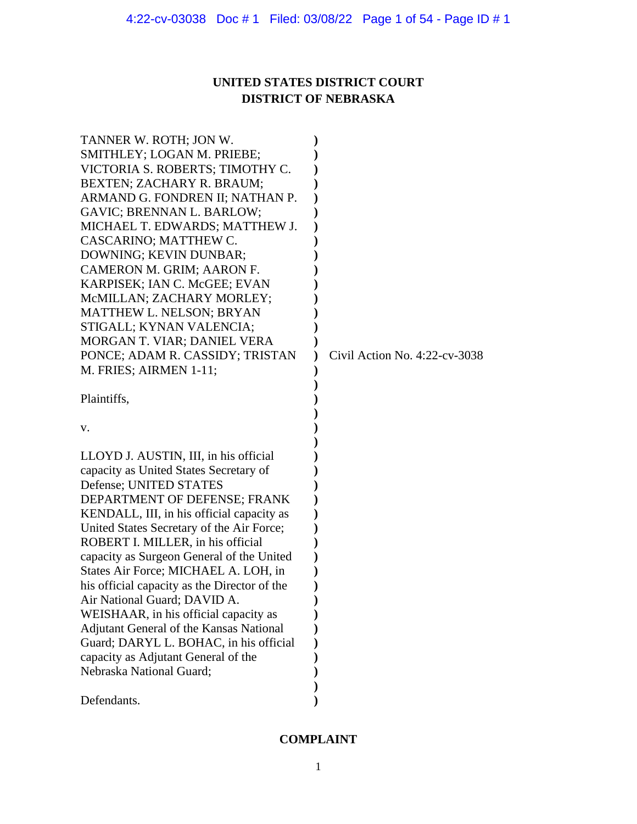# **UNITED STATES DISTRICT COURT DISTRICT OF NEBRASKA**

| TANNER W. ROTH; JON W.                       |                               |
|----------------------------------------------|-------------------------------|
| SMITHLEY; LOGAN M. PRIEBE;                   |                               |
| VICTORIA S. ROBERTS; TIMOTHY C.              |                               |
| BEXTEN; ZACHARY R. BRAUM;                    |                               |
| ARMAND G. FONDREN II; NATHAN P.              |                               |
| GAVIC; BRENNAN L. BARLOW;                    |                               |
| MICHAEL T. EDWARDS; MATTHEW J.               |                               |
| CASCARINO; MATTHEW C.                        |                               |
| DOWNING; KEVIN DUNBAR;                       |                               |
| CAMERON M. GRIM; AARON F.                    |                               |
| KARPISEK; IAN C. McGEE; EVAN                 |                               |
| McMILLAN; ZACHARY MORLEY;                    |                               |
| MATTHEW L. NELSON; BRYAN                     |                               |
| STIGALL; KYNAN VALENCIA;                     |                               |
| MORGAN T. VIAR; DANIEL VERA                  |                               |
| PONCE; ADAM R. CASSIDY; TRISTAN              | Civil Action No. 4:22-cv-3038 |
| M. FRIES; AIRMEN 1-11;                       |                               |
|                                              |                               |
| Plaintiffs,                                  |                               |
|                                              |                               |
| V.                                           |                               |
|                                              |                               |
| LLOYD J. AUSTIN, III, in his official        |                               |
| capacity as United States Secretary of       |                               |
| Defense; UNITED STATES                       |                               |
| DEPARTMENT OF DEFENSE; FRANK                 |                               |
| KENDALL, III, in his official capacity as    |                               |
| United States Secretary of the Air Force;    |                               |
| ROBERT I. MILLER, in his official            |                               |
| capacity as Surgeon General of the United    |                               |
| States Air Force; MICHAEL A. LOH, in         |                               |
| his official capacity as the Director of the |                               |
| Air National Guard; DAVID A.                 |                               |
| WEISHAAR, in his official capacity as        |                               |
| Adjutant General of the Kansas National      |                               |
| Guard; DARYL L. BOHAC, in his official       |                               |
| capacity as Adjutant General of the          |                               |
| Nebraska National Guard;                     |                               |
|                                              |                               |
| Defendants.                                  |                               |

# **COMPLAINT**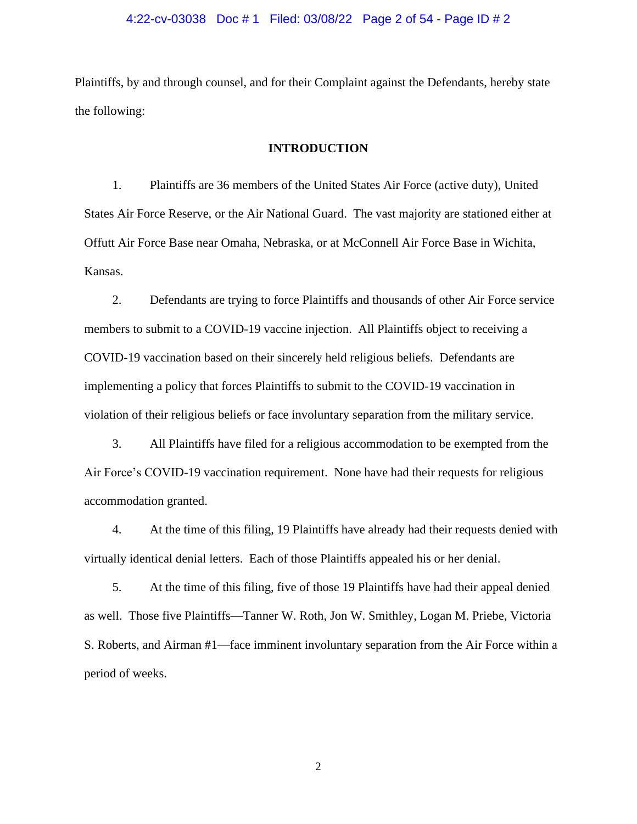## 4:22-cv-03038 Doc # 1 Filed: 03/08/22 Page 2 of 54 - Page ID # 2

Plaintiffs, by and through counsel, and for their Complaint against the Defendants, hereby state the following:

## **INTRODUCTION**

1. Plaintiffs are 36 members of the United States Air Force (active duty), United States Air Force Reserve, or the Air National Guard. The vast majority are stationed either at Offutt Air Force Base near Omaha, Nebraska, or at McConnell Air Force Base in Wichita, Kansas.

2. Defendants are trying to force Plaintiffs and thousands of other Air Force service members to submit to a COVID-19 vaccine injection. All Plaintiffs object to receiving a COVID-19 vaccination based on their sincerely held religious beliefs. Defendants are implementing a policy that forces Plaintiffs to submit to the COVID-19 vaccination in violation of their religious beliefs or face involuntary separation from the military service.

3. All Plaintiffs have filed for a religious accommodation to be exempted from the Air Force's COVID-19 vaccination requirement. None have had their requests for religious accommodation granted.

4. At the time of this filing, 19 Plaintiffs have already had their requests denied with virtually identical denial letters. Each of those Plaintiffs appealed his or her denial.

5. At the time of this filing, five of those 19 Plaintiffs have had their appeal denied as well. Those five Plaintiffs—Tanner W. Roth, Jon W. Smithley, Logan M. Priebe, Victoria S. Roberts, and Airman #1—face imminent involuntary separation from the Air Force within a period of weeks.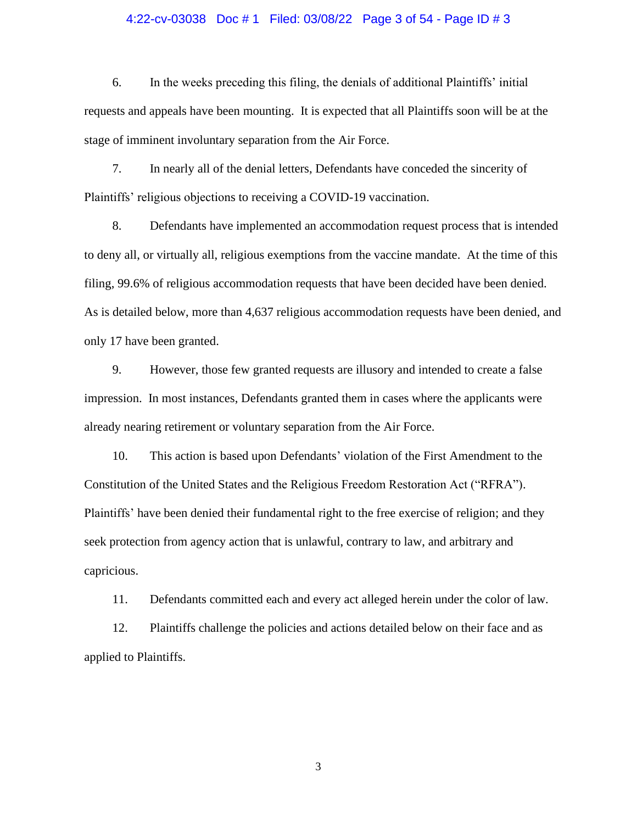## 4:22-cv-03038 Doc # 1 Filed: 03/08/22 Page 3 of 54 - Page ID # 3

6. In the weeks preceding this filing, the denials of additional Plaintiffs' initial requests and appeals have been mounting. It is expected that all Plaintiffs soon will be at the stage of imminent involuntary separation from the Air Force.

7. In nearly all of the denial letters, Defendants have conceded the sincerity of Plaintiffs' religious objections to receiving a COVID-19 vaccination.

8. Defendants have implemented an accommodation request process that is intended to deny all, or virtually all, religious exemptions from the vaccine mandate. At the time of this filing, 99.6% of religious accommodation requests that have been decided have been denied. As is detailed below, more than 4,637 religious accommodation requests have been denied, and only 17 have been granted.

9. However, those few granted requests are illusory and intended to create a false impression. In most instances, Defendants granted them in cases where the applicants were already nearing retirement or voluntary separation from the Air Force.

10. This action is based upon Defendants' violation of the First Amendment to the Constitution of the United States and the Religious Freedom Restoration Act ("RFRA"). Plaintiffs' have been denied their fundamental right to the free exercise of religion; and they seek protection from agency action that is unlawful, contrary to law, and arbitrary and capricious.

11. Defendants committed each and every act alleged herein under the color of law.

12. Plaintiffs challenge the policies and actions detailed below on their face and as applied to Plaintiffs.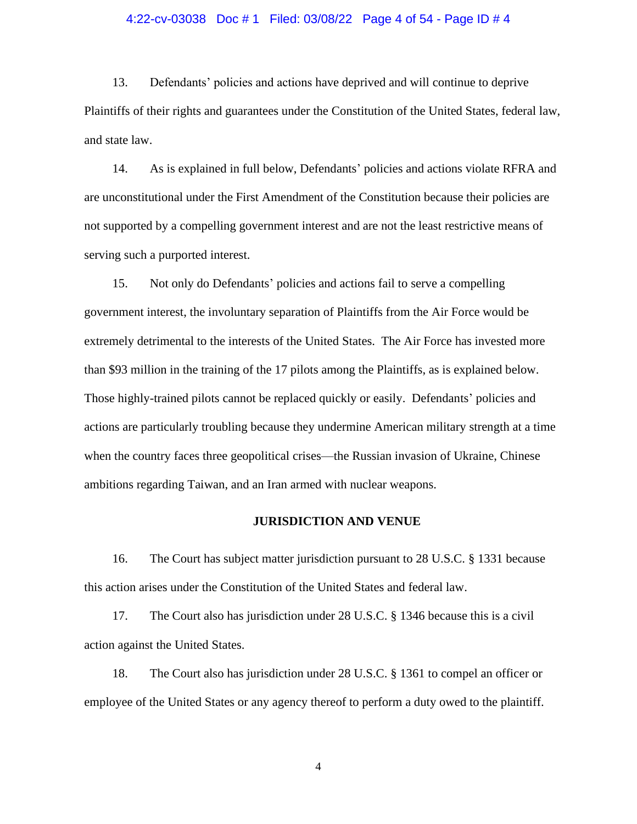#### 4:22-cv-03038 Doc # 1 Filed: 03/08/22 Page 4 of 54 - Page ID # 4

13. Defendants' policies and actions have deprived and will continue to deprive Plaintiffs of their rights and guarantees under the Constitution of the United States, federal law, and state law.

14. As is explained in full below, Defendants' policies and actions violate RFRA and are unconstitutional under the First Amendment of the Constitution because their policies are not supported by a compelling government interest and are not the least restrictive means of serving such a purported interest.

15. Not only do Defendants' policies and actions fail to serve a compelling government interest, the involuntary separation of Plaintiffs from the Air Force would be extremely detrimental to the interests of the United States. The Air Force has invested more than \$93 million in the training of the 17 pilots among the Plaintiffs, as is explained below. Those highly-trained pilots cannot be replaced quickly or easily. Defendants' policies and actions are particularly troubling because they undermine American military strength at a time when the country faces three geopolitical crises—the Russian invasion of Ukraine, Chinese ambitions regarding Taiwan, and an Iran armed with nuclear weapons.

### **JURISDICTION AND VENUE**

16. The Court has subject matter jurisdiction pursuant to 28 U.S.C. § 1331 because this action arises under the Constitution of the United States and federal law.

17. The Court also has jurisdiction under 28 U.S.C. § 1346 because this is a civil action against the United States.

18. The Court also has jurisdiction under 28 U.S.C. § 1361 to compel an officer or employee of the United States or any agency thereof to perform a duty owed to the plaintiff.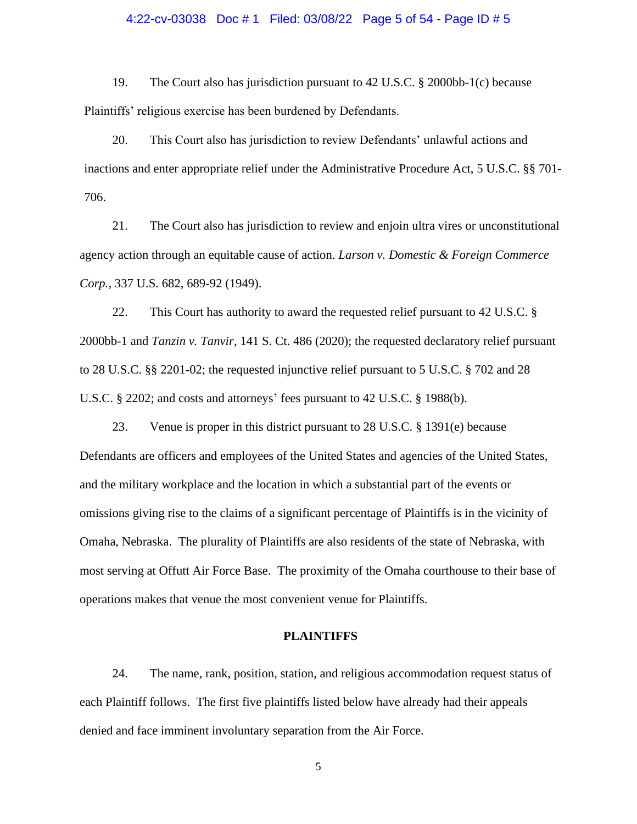## 4:22-cv-03038 Doc # 1 Filed: 03/08/22 Page 5 of 54 - Page ID # 5

19. The Court also has jurisdiction pursuant to 42 U.S.C. § 2000bb-1(c) because Plaintiffs' religious exercise has been burdened by Defendants.

20. This Court also has jurisdiction to review Defendants' unlawful actions and inactions and enter appropriate relief under the Administrative Procedure Act, 5 U.S.C. §§ 701- 706.

21. The Court also has jurisdiction to review and enjoin ultra vires or unconstitutional agency action through an equitable cause of action. *Larson v. Domestic & Foreign Commerce Corp.*, 337 U.S. 682, 689-92 (1949).

22. This Court has authority to award the requested relief pursuant to 42 U.S.C. § 2000bb-1 and *Tanzin v. Tanvir*, 141 S. Ct. 486 (2020); the requested declaratory relief pursuant to 28 U.S.C. §§ 2201-02; the requested injunctive relief pursuant to 5 U.S.C. § 702 and 28 U.S.C. § 2202; and costs and attorneys' fees pursuant to 42 U.S.C. § 1988(b).

23. Venue is proper in this district pursuant to 28 U.S.C. § 1391(e) because Defendants are officers and employees of the United States and agencies of the United States, and the military workplace and the location in which a substantial part of the events or omissions giving rise to the claims of a significant percentage of Plaintiffs is in the vicinity of Omaha, Nebraska. The plurality of Plaintiffs are also residents of the state of Nebraska, with most serving at Offutt Air Force Base. The proximity of the Omaha courthouse to their base of operations makes that venue the most convenient venue for Plaintiffs.

# **PLAINTIFFS**

24. The name, rank, position, station, and religious accommodation request status of each Plaintiff follows. The first five plaintiffs listed below have already had their appeals denied and face imminent involuntary separation from the Air Force.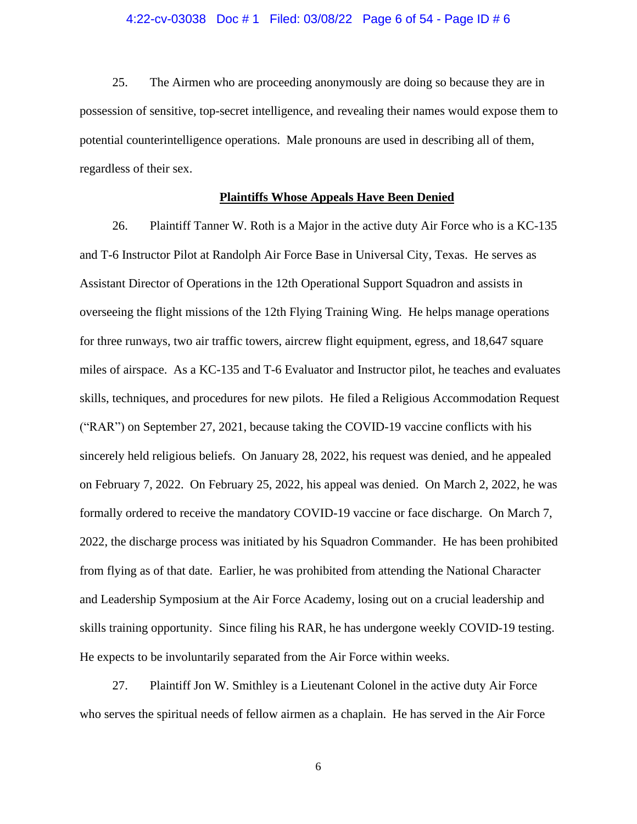## 4:22-cv-03038 Doc # 1 Filed: 03/08/22 Page 6 of 54 - Page ID # 6

25. The Airmen who are proceeding anonymously are doing so because they are in possession of sensitive, top-secret intelligence, and revealing their names would expose them to potential counterintelligence operations. Male pronouns are used in describing all of them, regardless of their sex.

#### **Plaintiffs Whose Appeals Have Been Denied**

26. Plaintiff Tanner W. Roth is a Major in the active duty Air Force who is a KC-135 and T-6 Instructor Pilot at Randolph Air Force Base in Universal City, Texas. He serves as Assistant Director of Operations in the 12th Operational Support Squadron and assists in overseeing the flight missions of the 12th Flying Training Wing. He helps manage operations for three runways, two air traffic towers, aircrew flight equipment, egress, and 18,647 square miles of airspace. As a KC-135 and T-6 Evaluator and Instructor pilot, he teaches and evaluates skills, techniques, and procedures for new pilots. He filed a Religious Accommodation Request ("RAR") on September 27, 2021, because taking the COVID-19 vaccine conflicts with his sincerely held religious beliefs. On January 28, 2022, his request was denied, and he appealed on February 7, 2022. On February 25, 2022, his appeal was denied. On March 2, 2022, he was formally ordered to receive the mandatory COVID-19 vaccine or face discharge. On March 7, 2022, the discharge process was initiated by his Squadron Commander. He has been prohibited from flying as of that date. Earlier, he was prohibited from attending the National Character and Leadership Symposium at the Air Force Academy, losing out on a crucial leadership and skills training opportunity. Since filing his RAR, he has undergone weekly COVID-19 testing. He expects to be involuntarily separated from the Air Force within weeks.

27. Plaintiff Jon W. Smithley is a Lieutenant Colonel in the active duty Air Force who serves the spiritual needs of fellow airmen as a chaplain. He has served in the Air Force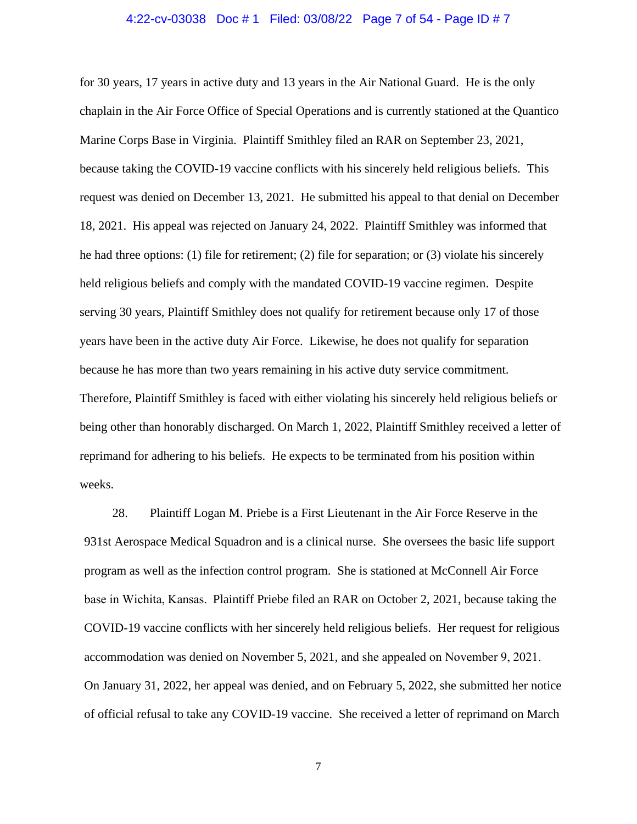## 4:22-cv-03038 Doc # 1 Filed: 03/08/22 Page 7 of 54 - Page ID # 7

for 30 years, 17 years in active duty and 13 years in the Air National Guard. He is the only chaplain in the Air Force Office of Special Operations and is currently stationed at the Quantico Marine Corps Base in Virginia. Plaintiff Smithley filed an RAR on September 23, 2021, because taking the COVID-19 vaccine conflicts with his sincerely held religious beliefs. This request was denied on December 13, 2021. He submitted his appeal to that denial on December 18, 2021. His appeal was rejected on January 24, 2022. Plaintiff Smithley was informed that he had three options: (1) file for retirement; (2) file for separation; or (3) violate his sincerely held religious beliefs and comply with the mandated COVID-19 vaccine regimen. Despite serving 30 years, Plaintiff Smithley does not qualify for retirement because only 17 of those years have been in the active duty Air Force. Likewise, he does not qualify for separation because he has more than two years remaining in his active duty service commitment. Therefore, Plaintiff Smithley is faced with either violating his sincerely held religious beliefs or being other than honorably discharged. On March 1, 2022, Plaintiff Smithley received a letter of reprimand for adhering to his beliefs. He expects to be terminated from his position within weeks.

28. Plaintiff Logan M. Priebe is a First Lieutenant in the Air Force Reserve in the 931st Aerospace Medical Squadron and is a clinical nurse. She oversees the basic life support program as well as the infection control program. She is stationed at McConnell Air Force base in Wichita, Kansas.  Plaintiff Priebe filed an RAR on October 2, 2021, because taking the COVID-19 vaccine conflicts with her sincerely held religious beliefs. Her request for religious accommodation was denied on November 5, 2021, and she appealed on November 9, 2021.  On January 31, 2022, her appeal was denied, and on February 5, 2022, she submitted her notice of official refusal to take any COVID-19 vaccine. She received a letter of reprimand on March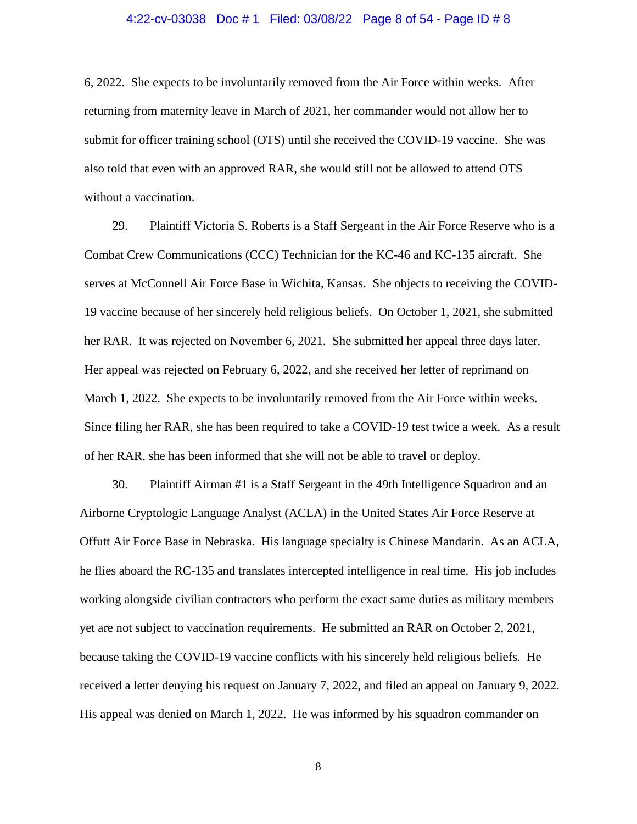## 4:22-cv-03038 Doc # 1 Filed: 03/08/22 Page 8 of 54 - Page ID # 8

6, 2022. She expects to be involuntarily removed from the Air Force within weeks. After returning from maternity leave in March of 2021, her commander would not allow her to submit for officer training school (OTS) until she received the COVID-19 vaccine. She was also told that even with an approved RAR, she would still not be allowed to attend OTS without a vaccination.

29. Plaintiff Victoria S. Roberts is a Staff Sergeant in the Air Force Reserve who is a Combat Crew Communications (CCC) Technician for the KC-46 and KC-135 aircraft. She serves at McConnell Air Force Base in Wichita, Kansas. She objects to receiving the COVID-19 vaccine because of her sincerely held religious beliefs. On October 1, 2021, she submitted her RAR. It was rejected on November 6, 2021. She submitted her appeal three days later. Her appeal was rejected on February 6, 2022, and she received her letter of reprimand on March 1, 2022. She expects to be involuntarily removed from the Air Force within weeks. Since filing her RAR, she has been required to take a COVID-19 test twice a week. As a result of her RAR, she has been informed that she will not be able to travel or deploy.

30. Plaintiff Airman #1 is a Staff Sergeant in the 49th Intelligence Squadron and an Airborne Cryptologic Language Analyst (ACLA) in the United States Air Force Reserve at Offutt Air Force Base in Nebraska. His language specialty is Chinese Mandarin. As an ACLA, he flies aboard the RC-135 and translates intercepted intelligence in real time. His job includes working alongside civilian contractors who perform the exact same duties as military members yet are not subject to vaccination requirements. He submitted an RAR on October 2, 2021, because taking the COVID-19 vaccine conflicts with his sincerely held religious beliefs. He received a letter denying his request on January 7, 2022, and filed an appeal on January 9, 2022. His appeal was denied on March 1, 2022. He was informed by his squadron commander on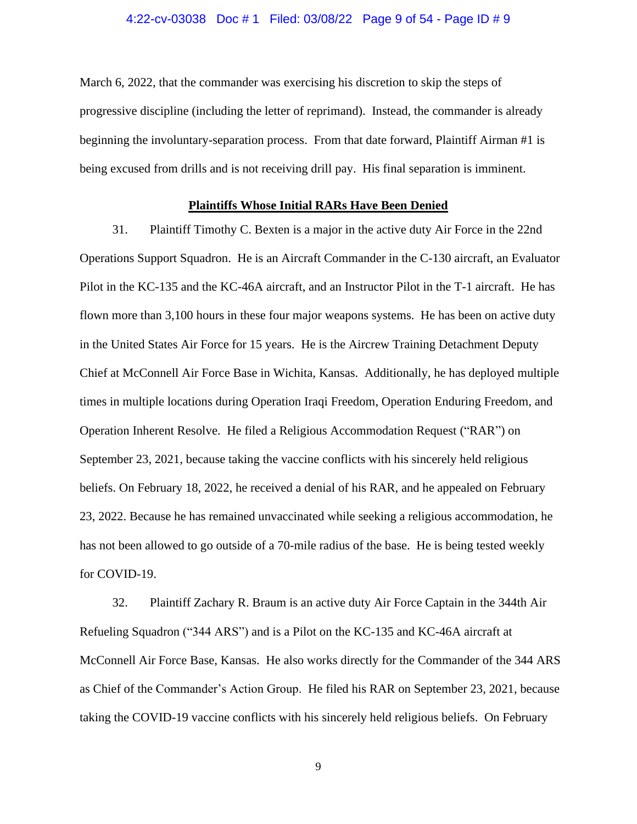## 4:22-cv-03038 Doc # 1 Filed: 03/08/22 Page 9 of 54 - Page ID # 9

March 6, 2022, that the commander was exercising his discretion to skip the steps of progressive discipline (including the letter of reprimand). Instead, the commander is already beginning the involuntary-separation process. From that date forward, Plaintiff Airman #1 is being excused from drills and is not receiving drill pay. His final separation is imminent.

# **Plaintiffs Whose Initial RARs Have Been Denied**

31. Plaintiff Timothy C. Bexten is a major in the active duty Air Force in the 22nd Operations Support Squadron. He is an Aircraft Commander in the C-130 aircraft, an Evaluator Pilot in the KC-135 and the KC-46A aircraft, and an Instructor Pilot in the T-1 aircraft. He has flown more than 3,100 hours in these four major weapons systems. He has been on active duty in the United States Air Force for 15 years. He is the Aircrew Training Detachment Deputy Chief at McConnell Air Force Base in Wichita, Kansas. Additionally, he has deployed multiple times in multiple locations during Operation Iraqi Freedom, Operation Enduring Freedom, and Operation Inherent Resolve. He filed a Religious Accommodation Request ("RAR") on September 23, 2021, because taking the vaccine conflicts with his sincerely held religious beliefs. On February 18, 2022, he received a denial of his RAR, and he appealed on February 23, 2022. Because he has remained unvaccinated while seeking a religious accommodation, he has not been allowed to go outside of a 70-mile radius of the base. He is being tested weekly for COVID-19.

32. Plaintiff Zachary R. Braum is an active duty Air Force Captain in the 344th Air Refueling Squadron ("344 ARS") and is a Pilot on the KC-135 and KC-46A aircraft at McConnell Air Force Base, Kansas. He also works directly for the Commander of the 344 ARS as Chief of the Commander's Action Group. He filed his RAR on September 23, 2021, because taking the COVID-19 vaccine conflicts with his sincerely held religious beliefs. On February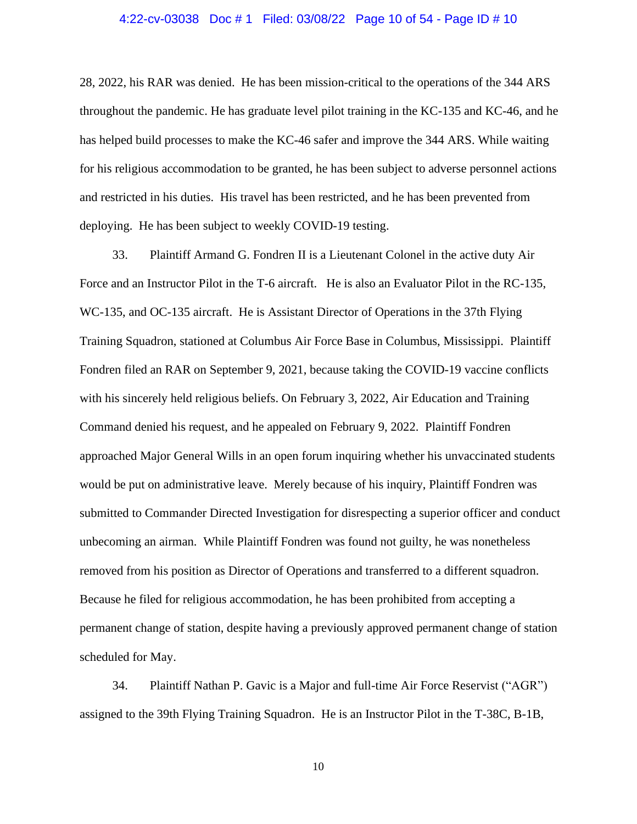## 4:22-cv-03038 Doc # 1 Filed: 03/08/22 Page 10 of 54 - Page ID # 10

28, 2022, his RAR was denied. He has been mission-critical to the operations of the 344 ARS throughout the pandemic. He has graduate level pilot training in the KC-135 and KC-46, and he has helped build processes to make the KC-46 safer and improve the 344 ARS. While waiting for his religious accommodation to be granted, he has been subject to adverse personnel actions and restricted in his duties. His travel has been restricted, and he has been prevented from deploying. He has been subject to weekly COVID-19 testing.

33. Plaintiff Armand G. Fondren II is a Lieutenant Colonel in the active duty Air Force and an Instructor Pilot in the T-6 aircraft. He is also an Evaluator Pilot in the RC-135, WC-135, and OC-135 aircraft. He is Assistant Director of Operations in the 37th Flying Training Squadron, stationed at Columbus Air Force Base in Columbus, Mississippi. Plaintiff Fondren filed an RAR on September 9, 2021, because taking the COVID-19 vaccine conflicts with his sincerely held religious beliefs. On February 3, 2022, Air Education and Training Command denied his request, and he appealed on February 9, 2022. Plaintiff Fondren approached Major General Wills in an open forum inquiring whether his unvaccinated students would be put on administrative leave. Merely because of his inquiry, Plaintiff Fondren was submitted to Commander Directed Investigation for disrespecting a superior officer and conduct unbecoming an airman. While Plaintiff Fondren was found not guilty, he was nonetheless removed from his position as Director of Operations and transferred to a different squadron. Because he filed for religious accommodation, he has been prohibited from accepting a permanent change of station, despite having a previously approved permanent change of station scheduled for May.

34. Plaintiff Nathan P. Gavic is a Major and full-time Air Force Reservist ("AGR") assigned to the 39th Flying Training Squadron. He is an Instructor Pilot in the T-38C, B-1B,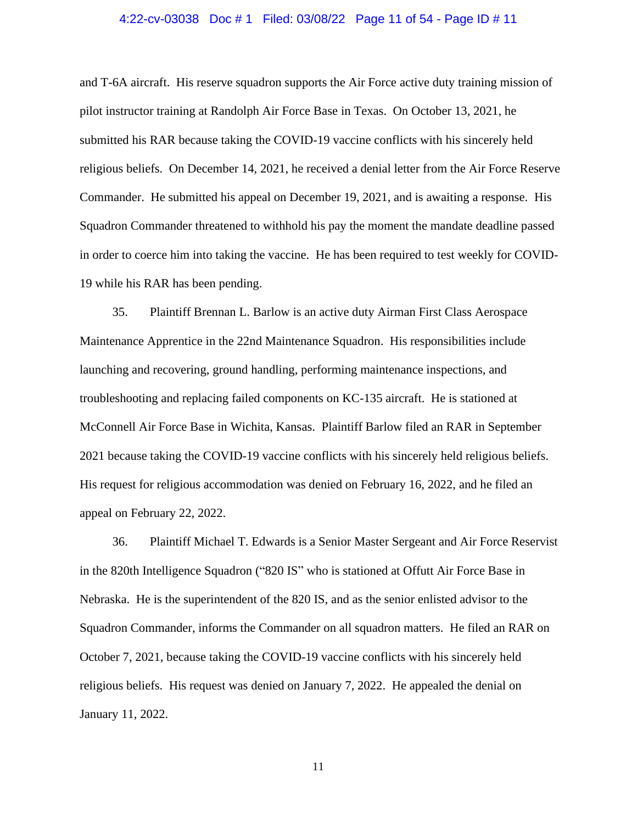## 4:22-cv-03038 Doc # 1 Filed: 03/08/22 Page 11 of 54 - Page ID # 11

and T-6A aircraft. His reserve squadron supports the Air Force active duty training mission of pilot instructor training at Randolph Air Force Base in Texas. On October 13, 2021, he submitted his RAR because taking the COVID-19 vaccine conflicts with his sincerely held religious beliefs. On December 14, 2021, he received a denial letter from the Air Force Reserve Commander. He submitted his appeal on December 19, 2021, and is awaiting a response. His Squadron Commander threatened to withhold his pay the moment the mandate deadline passed in order to coerce him into taking the vaccine. He has been required to test weekly for COVID-19 while his RAR has been pending.

35. Plaintiff Brennan L. Barlow is an active duty Airman First Class Aerospace Maintenance Apprentice in the 22nd Maintenance Squadron. His responsibilities include launching and recovering, ground handling, performing maintenance inspections, and troubleshooting and replacing failed components on KC-135 aircraft. He is stationed at McConnell Air Force Base in Wichita, Kansas. Plaintiff Barlow filed an RAR in September 2021 because taking the COVID-19 vaccine conflicts with his sincerely held religious beliefs. His request for religious accommodation was denied on February 16, 2022, and he filed an appeal on February 22, 2022.

36. Plaintiff Michael T. Edwards is a Senior Master Sergeant and Air Force Reservist in the 820th Intelligence Squadron ("820 IS" who is stationed at Offutt Air Force Base in Nebraska. He is the superintendent of the 820 IS, and as the senior enlisted advisor to the Squadron Commander, informs the Commander on all squadron matters. He filed an RAR on October 7, 2021, because taking the COVID-19 vaccine conflicts with his sincerely held religious beliefs. His request was denied on January 7, 2022. He appealed the denial on January 11, 2022.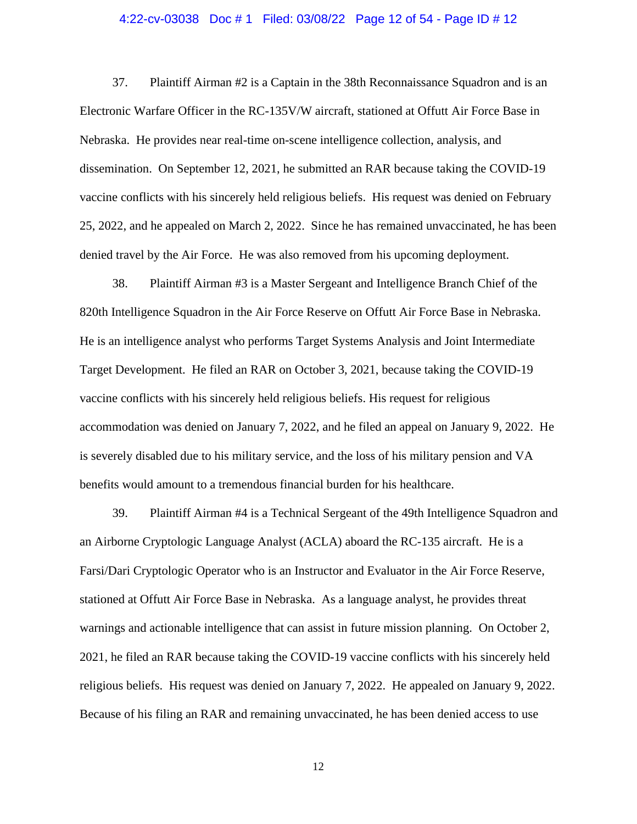## 4:22-cv-03038 Doc # 1 Filed: 03/08/22 Page 12 of 54 - Page ID # 12

37. Plaintiff Airman #2 is a Captain in the 38th Reconnaissance Squadron and is an Electronic Warfare Officer in the RC-135V/W aircraft, stationed at Offutt Air Force Base in Nebraska. He provides near real-time on-scene intelligence collection, analysis, and dissemination. On September 12, 2021, he submitted an RAR because taking the COVID-19 vaccine conflicts with his sincerely held religious beliefs. His request was denied on February 25, 2022, and he appealed on March 2, 2022. Since he has remained unvaccinated, he has been denied travel by the Air Force. He was also removed from his upcoming deployment.

38. Plaintiff Airman #3 is a Master Sergeant and Intelligence Branch Chief of the 820th Intelligence Squadron in the Air Force Reserve on Offutt Air Force Base in Nebraska. He is an intelligence analyst who performs Target Systems Analysis and Joint Intermediate Target Development. He filed an RAR on October 3, 2021, because taking the COVID-19 vaccine conflicts with his sincerely held religious beliefs. His request for religious accommodation was denied on January 7, 2022, and he filed an appeal on January 9, 2022. He is severely disabled due to his military service, and the loss of his military pension and VA benefits would amount to a tremendous financial burden for his healthcare.

39. Plaintiff Airman #4 is a Technical Sergeant of the 49th Intelligence Squadron and an Airborne Cryptologic Language Analyst (ACLA) aboard the RC-135 aircraft. He is a Farsi/Dari Cryptologic Operator who is an Instructor and Evaluator in the Air Force Reserve, stationed at Offutt Air Force Base in Nebraska. As a language analyst, he provides threat warnings and actionable intelligence that can assist in future mission planning. On October 2, 2021, he filed an RAR because taking the COVID-19 vaccine conflicts with his sincerely held religious beliefs. His request was denied on January 7, 2022. He appealed on January 9, 2022. Because of his filing an RAR and remaining unvaccinated, he has been denied access to use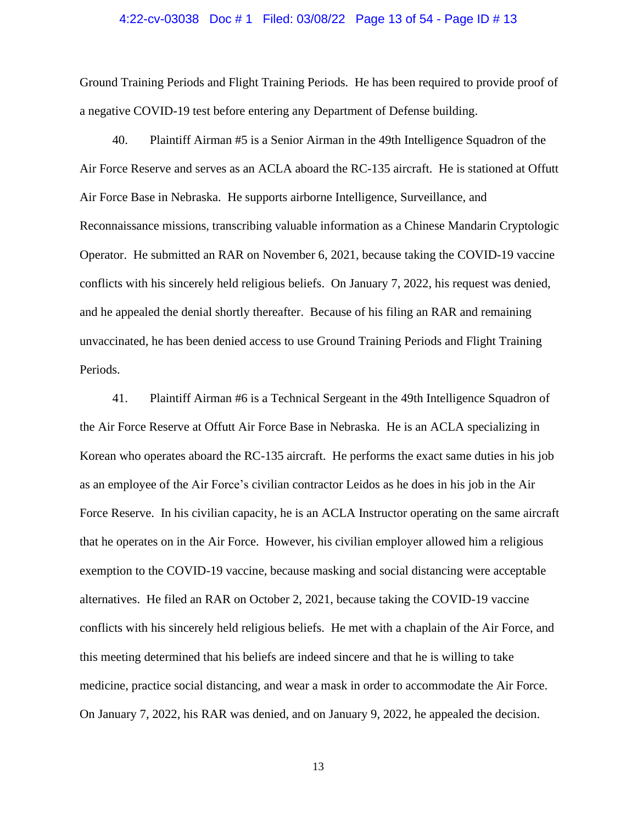# 4:22-cv-03038 Doc # 1 Filed: 03/08/22 Page 13 of 54 - Page ID # 13

Ground Training Periods and Flight Training Periods. He has been required to provide proof of a negative COVID-19 test before entering any Department of Defense building.

40. Plaintiff Airman #5 is a Senior Airman in the 49th Intelligence Squadron of the Air Force Reserve and serves as an ACLA aboard the RC-135 aircraft. He is stationed at Offutt Air Force Base in Nebraska. He supports airborne Intelligence, Surveillance, and Reconnaissance missions, transcribing valuable information as a Chinese Mandarin Cryptologic Operator. He submitted an RAR on November 6, 2021, because taking the COVID-19 vaccine conflicts with his sincerely held religious beliefs. On January 7, 2022, his request was denied, and he appealed the denial shortly thereafter. Because of his filing an RAR and remaining unvaccinated, he has been denied access to use Ground Training Periods and Flight Training Periods.

41. Plaintiff Airman #6 is a Technical Sergeant in the 49th Intelligence Squadron of the Air Force Reserve at Offutt Air Force Base in Nebraska. He is an ACLA specializing in Korean who operates aboard the RC-135 aircraft. He performs the exact same duties in his job as an employee of the Air Force's civilian contractor Leidos as he does in his job in the Air Force Reserve. In his civilian capacity, he is an ACLA Instructor operating on the same aircraft that he operates on in the Air Force. However, his civilian employer allowed him a religious exemption to the COVID-19 vaccine, because masking and social distancing were acceptable alternatives. He filed an RAR on October 2, 2021, because taking the COVID-19 vaccine conflicts with his sincerely held religious beliefs. He met with a chaplain of the Air Force, and this meeting determined that his beliefs are indeed sincere and that he is willing to take medicine, practice social distancing, and wear a mask in order to accommodate the Air Force. On January 7, 2022, his RAR was denied, and on January 9, 2022, he appealed the decision.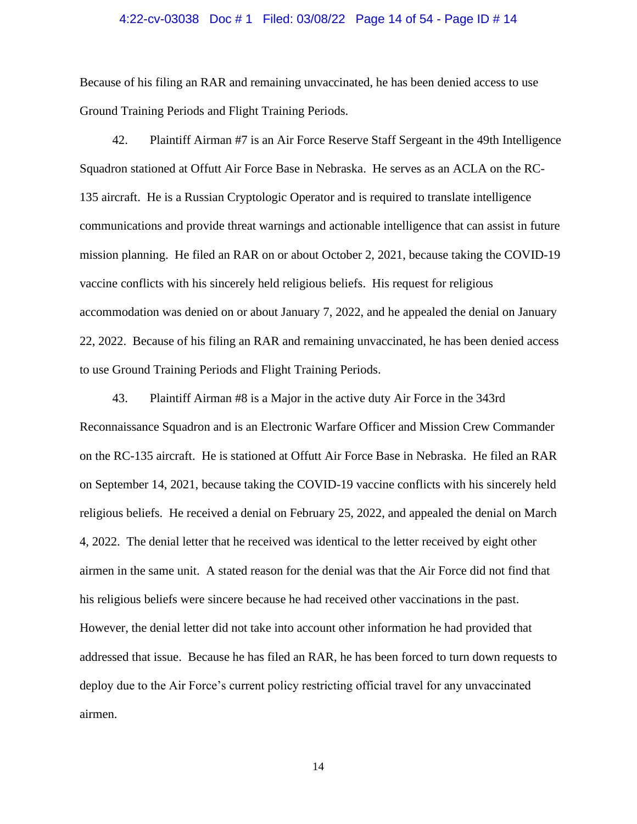## 4:22-cv-03038 Doc # 1 Filed: 03/08/22 Page 14 of 54 - Page ID # 14

Because of his filing an RAR and remaining unvaccinated, he has been denied access to use Ground Training Periods and Flight Training Periods.

42. Plaintiff Airman #7 is an Air Force Reserve Staff Sergeant in the 49th Intelligence Squadron stationed at Offutt Air Force Base in Nebraska. He serves as an ACLA on the RC-135 aircraft. He is a Russian Cryptologic Operator and is required to translate intelligence communications and provide threat warnings and actionable intelligence that can assist in future mission planning. He filed an RAR on or about October 2, 2021, because taking the COVID-19 vaccine conflicts with his sincerely held religious beliefs. His request for religious accommodation was denied on or about January 7, 2022, and he appealed the denial on January 22, 2022. Because of his filing an RAR and remaining unvaccinated, he has been denied access to use Ground Training Periods and Flight Training Periods.

43. Plaintiff Airman #8 is a Major in the active duty Air Force in the 343rd Reconnaissance Squadron and is an Electronic Warfare Officer and Mission Crew Commander on the RC-135 aircraft. He is stationed at Offutt Air Force Base in Nebraska. He filed an RAR on September 14, 2021, because taking the COVID-19 vaccine conflicts with his sincerely held religious beliefs. He received a denial on February 25, 2022, and appealed the denial on March 4, 2022. The denial letter that he received was identical to the letter received by eight other airmen in the same unit. A stated reason for the denial was that the Air Force did not find that his religious beliefs were sincere because he had received other vaccinations in the past. However, the denial letter did not take into account other information he had provided that addressed that issue. Because he has filed an RAR, he has been forced to turn down requests to deploy due to the Air Force's current policy restricting official travel for any unvaccinated airmen.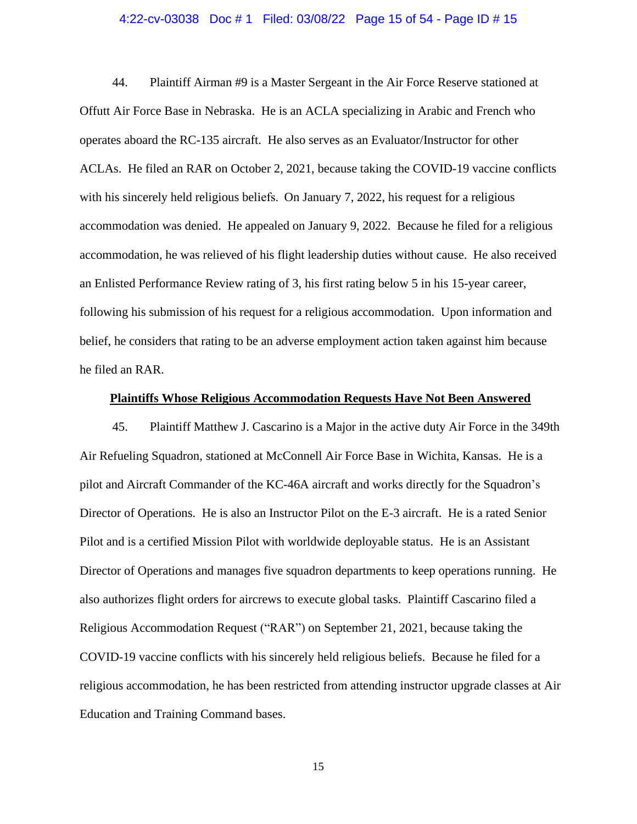## 4:22-cv-03038 Doc # 1 Filed: 03/08/22 Page 15 of 54 - Page ID # 15

44. Plaintiff Airman #9 is a Master Sergeant in the Air Force Reserve stationed at Offutt Air Force Base in Nebraska. He is an ACLA specializing in Arabic and French who operates aboard the RC-135 aircraft. He also serves as an Evaluator/Instructor for other ACLAs. He filed an RAR on October 2, 2021, because taking the COVID-19 vaccine conflicts with his sincerely held religious beliefs.  On January 7, 2022, his request for a religious accommodation was denied. He appealed on January 9, 2022. Because he filed for a religious accommodation, he was relieved of his flight leadership duties without cause. He also received an Enlisted Performance Review rating of 3, his first rating below 5 in his 15-year career, following his submission of his request for a religious accommodation. Upon information and belief, he considers that rating to be an adverse employment action taken against him because he filed an RAR.

#### **Plaintiffs Whose Religious Accommodation Requests Have Not Been Answered**

45. Plaintiff Matthew J. Cascarino is a Major in the active duty Air Force in the 349th Air Refueling Squadron, stationed at McConnell Air Force Base in Wichita, Kansas. He is a pilot and Aircraft Commander of the KC-46A aircraft and works directly for the Squadron's Director of Operations. He is also an Instructor Pilot on the E-3 aircraft. He is a rated Senior Pilot and is a certified Mission Pilot with worldwide deployable status. He is an Assistant Director of Operations and manages five squadron departments to keep operations running. He also authorizes flight orders for aircrews to execute global tasks. Plaintiff Cascarino filed a Religious Accommodation Request ("RAR") on September 21, 2021, because taking the COVID-19 vaccine conflicts with his sincerely held religious beliefs. Because he filed for a religious accommodation, he has been restricted from attending instructor upgrade classes at Air Education and Training Command bases.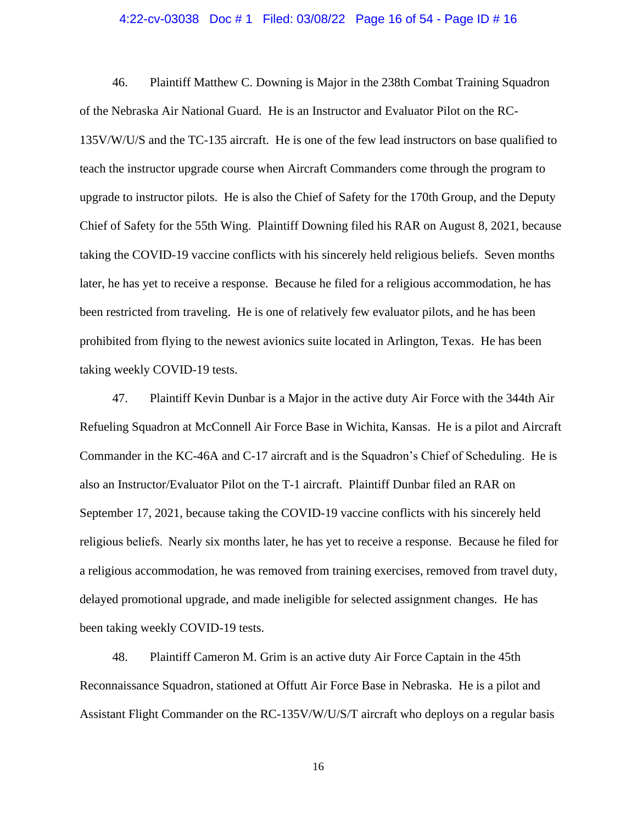## 4:22-cv-03038 Doc # 1 Filed: 03/08/22 Page 16 of 54 - Page ID # 16

46. Plaintiff Matthew C. Downing is Major in the 238th Combat Training Squadron of the Nebraska Air National Guard. He is an Instructor and Evaluator Pilot on the RC-135V/W/U/S and the TC-135 aircraft. He is one of the few lead instructors on base qualified to teach the instructor upgrade course when Aircraft Commanders come through the program to upgrade to instructor pilots. He is also the Chief of Safety for the 170th Group, and the Deputy Chief of Safety for the 55th Wing. Plaintiff Downing filed his RAR on August 8, 2021, because taking the COVID-19 vaccine conflicts with his sincerely held religious beliefs. Seven months later, he has yet to receive a response. Because he filed for a religious accommodation, he has been restricted from traveling. He is one of relatively few evaluator pilots, and he has been prohibited from flying to the newest avionics suite located in Arlington, Texas. He has been taking weekly COVID-19 tests.

47. Plaintiff Kevin Dunbar is a Major in the active duty Air Force with the 344th Air Refueling Squadron at McConnell Air Force Base in Wichita, Kansas. He is a pilot and Aircraft Commander in the KC-46A and C-17 aircraft and is the Squadron's Chief of Scheduling. He is also an Instructor/Evaluator Pilot on the T-1 aircraft. Plaintiff Dunbar filed an RAR on September 17, 2021, because taking the COVID-19 vaccine conflicts with his sincerely held religious beliefs.  Nearly six months later, he has yet to receive a response. Because he filed for a religious accommodation, he was removed from training exercises, removed from travel duty, delayed promotional upgrade, and made ineligible for selected assignment changes. He has been taking weekly COVID-19 tests.

48. Plaintiff Cameron M. Grim is an active duty Air Force Captain in the 45th Reconnaissance Squadron, stationed at Offutt Air Force Base in Nebraska. He is a pilot and Assistant Flight Commander on the RC-135V/W/U/S/T aircraft who deploys on a regular basis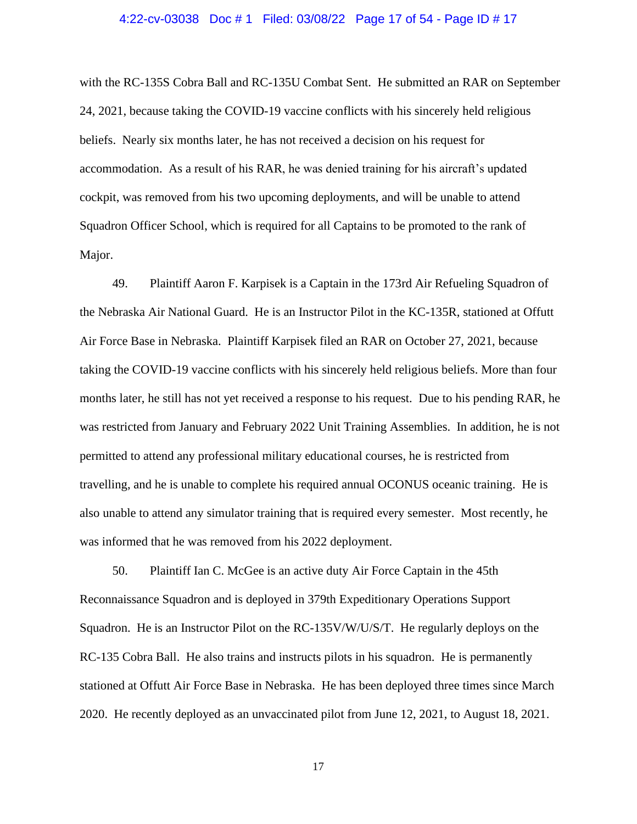#### 4:22-cv-03038 Doc # 1 Filed: 03/08/22 Page 17 of 54 - Page ID # 17

with the RC-135S Cobra Ball and RC-135U Combat Sent. He submitted an RAR on September 24, 2021, because taking the COVID-19 vaccine conflicts with his sincerely held religious beliefs. Nearly six months later, he has not received a decision on his request for accommodation. As a result of his RAR, he was denied training for his aircraft's updated cockpit, was removed from his two upcoming deployments, and will be unable to attend Squadron Officer School, which is required for all Captains to be promoted to the rank of Major.

49. Plaintiff Aaron F. Karpisek is a Captain in the 173rd Air Refueling Squadron of the Nebraska Air National Guard. He is an Instructor Pilot in the KC-135R, stationed at Offutt Air Force Base in Nebraska. Plaintiff Karpisek filed an RAR on October 27, 2021, because taking the COVID-19 vaccine conflicts with his sincerely held religious beliefs. More than four months later, he still has not yet received a response to his request. Due to his pending RAR, he was restricted from January and February 2022 Unit Training Assemblies. In addition, he is not permitted to attend any professional military educational courses, he is restricted from travelling, and he is unable to complete his required annual OCONUS oceanic training. He is also unable to attend any simulator training that is required every semester. Most recently, he was informed that he was removed from his 2022 deployment.

50. Plaintiff Ian C. McGee is an active duty Air Force Captain in the 45th Reconnaissance Squadron and is deployed in 379th Expeditionary Operations Support Squadron. He is an Instructor Pilot on the RC-135V/W/U/S/T. He regularly deploys on the RC-135 Cobra Ball. He also trains and instructs pilots in his squadron. He is permanently stationed at Offutt Air Force Base in Nebraska. He has been deployed three times since March 2020. He recently deployed as an unvaccinated pilot from June 12, 2021, to August 18, 2021.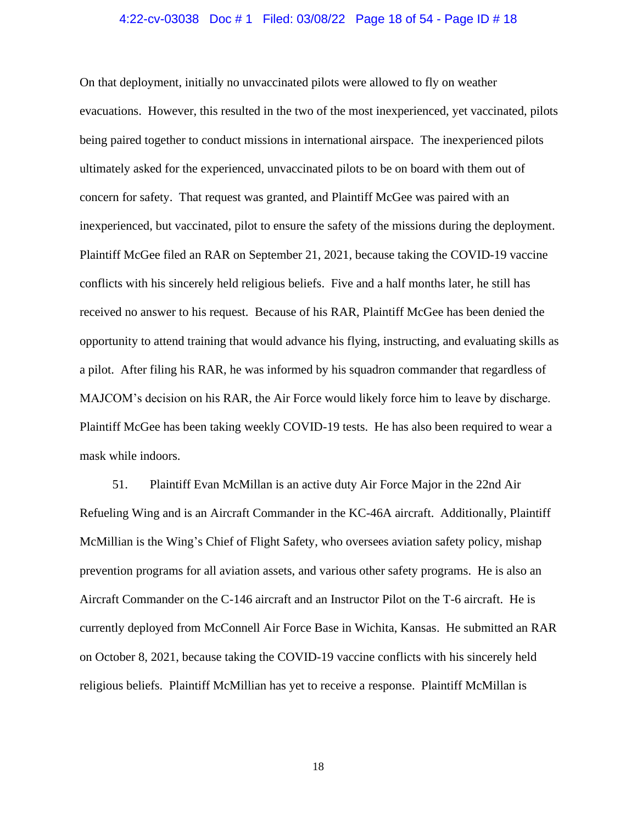### 4:22-cv-03038 Doc # 1 Filed: 03/08/22 Page 18 of 54 - Page ID # 18

On that deployment, initially no unvaccinated pilots were allowed to fly on weather evacuations. However, this resulted in the two of the most inexperienced, yet vaccinated, pilots being paired together to conduct missions in international airspace. The inexperienced pilots ultimately asked for the experienced, unvaccinated pilots to be on board with them out of concern for safety. That request was granted, and Plaintiff McGee was paired with an inexperienced, but vaccinated, pilot to ensure the safety of the missions during the deployment. Plaintiff McGee filed an RAR on September 21, 2021, because taking the COVID-19 vaccine conflicts with his sincerely held religious beliefs. Five and a half months later, he still has received no answer to his request. Because of his RAR, Plaintiff McGee has been denied the opportunity to attend training that would advance his flying, instructing, and evaluating skills as a pilot. After filing his RAR, he was informed by his squadron commander that regardless of MAJCOM's decision on his RAR, the Air Force would likely force him to leave by discharge.  Plaintiff McGee has been taking weekly COVID-19 tests. He has also been required to wear a mask while indoors.

51. Plaintiff Evan McMillan is an active duty Air Force Major in the 22nd Air Refueling Wing and is an Aircraft Commander in the KC-46A aircraft. Additionally, Plaintiff McMillian is the Wing's Chief of Flight Safety, who oversees aviation safety policy, mishap prevention programs for all aviation assets, and various other safety programs. He is also an Aircraft Commander on the C-146 aircraft and an Instructor Pilot on the T-6 aircraft. He is currently deployed from McConnell Air Force Base in Wichita, Kansas. He submitted an RAR on October 8, 2021, because taking the COVID-19 vaccine conflicts with his sincerely held religious beliefs. Plaintiff McMillian has yet to receive a response. Plaintiff McMillan is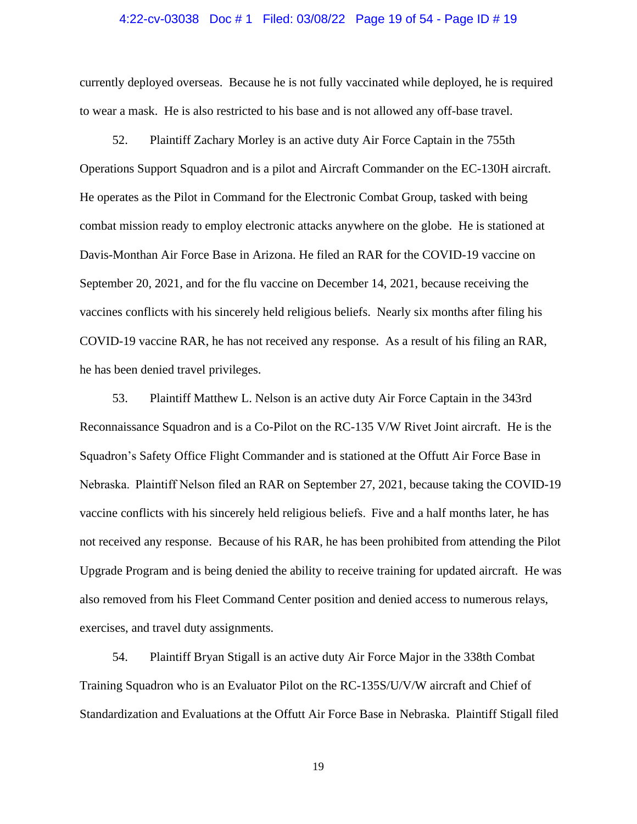## 4:22-cv-03038 Doc # 1 Filed: 03/08/22 Page 19 of 54 - Page ID # 19

currently deployed overseas. Because he is not fully vaccinated while deployed, he is required to wear a mask. He is also restricted to his base and is not allowed any off-base travel.

52. Plaintiff Zachary Morley is an active duty Air Force Captain in the 755th Operations Support Squadron and is a pilot and Aircraft Commander on the EC-130H aircraft. He operates as the Pilot in Command for the Electronic Combat Group, tasked with being combat mission ready to employ electronic attacks anywhere on the globe. He is stationed at Davis-Monthan Air Force Base in Arizona. He filed an RAR for the COVID-19 vaccine on September 20, 2021, and for the flu vaccine on December 14, 2021, because receiving the vaccines conflicts with his sincerely held religious beliefs. Nearly six months after filing his COVID-19 vaccine RAR, he has not received any response. As a result of his filing an RAR, he has been denied travel privileges.

53. Plaintiff Matthew L. Nelson is an active duty Air Force Captain in the 343rd Reconnaissance Squadron and is a Co-Pilot on the RC-135 V/W Rivet Joint aircraft. He is the Squadron's Safety Office Flight Commander and is stationed at the Offutt Air Force Base in Nebraska.  Plaintiff Nelson filed an RAR on September 27, 2021, because taking the COVID-19 vaccine conflicts with his sincerely held religious beliefs.  Five and a half months later, he has not received any response. Because of his RAR, he has been prohibited from attending the Pilot Upgrade Program and is being denied the ability to receive training for updated aircraft. He was also removed from his Fleet Command Center position and denied access to numerous relays, exercises, and travel duty assignments.

54. Plaintiff Bryan Stigall is an active duty Air Force Major in the 338th Combat Training Squadron who is an Evaluator Pilot on the RC-135S/U/V/W aircraft and Chief of Standardization and Evaluations at the Offutt Air Force Base in Nebraska. Plaintiff Stigall filed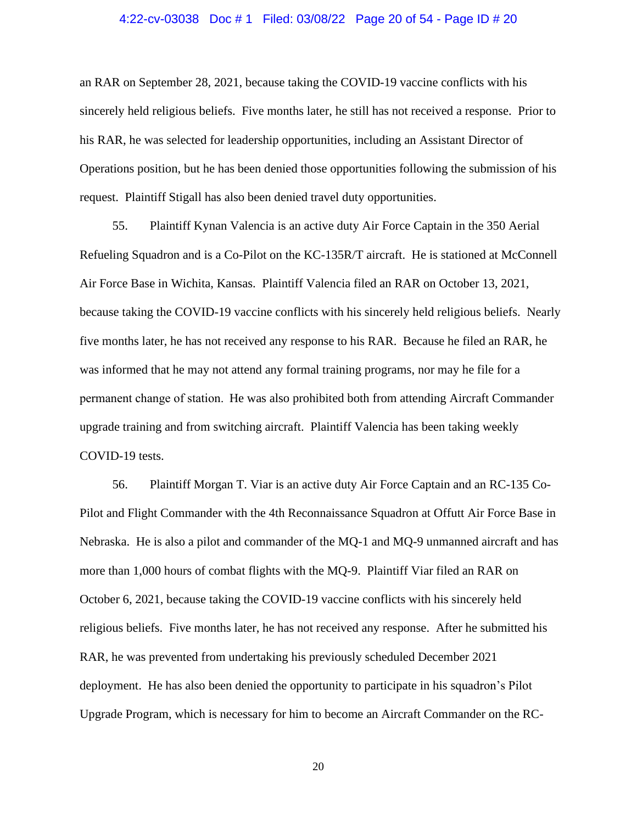# 4:22-cv-03038 Doc # 1 Filed: 03/08/22 Page 20 of 54 - Page ID # 20

an RAR on September 28, 2021, because taking the COVID-19 vaccine conflicts with his sincerely held religious beliefs. Five months later, he still has not received a response. Prior to his RAR, he was selected for leadership opportunities, including an Assistant Director of Operations position, but he has been denied those opportunities following the submission of his request. Plaintiff Stigall has also been denied travel duty opportunities.

55. Plaintiff Kynan Valencia is an active duty Air Force Captain in the 350 Aerial Refueling Squadron and is a Co-Pilot on the KC-135R/T aircraft. He is stationed at McConnell Air Force Base in Wichita, Kansas. Plaintiff Valencia filed an RAR on October 13, 2021, because taking the COVID-19 vaccine conflicts with his sincerely held religious beliefs. Nearly five months later, he has not received any response to his RAR. Because he filed an RAR, he was informed that he may not attend any formal training programs, nor may he file for a permanent change of station.  He was also prohibited both from attending Aircraft Commander upgrade training and from switching aircraft. Plaintiff Valencia has been taking weekly COVID-19 tests.

56. Plaintiff Morgan T. Viar is an active duty Air Force Captain and an RC-135 Co-Pilot and Flight Commander with the 4th Reconnaissance Squadron at Offutt Air Force Base in Nebraska. He is also a pilot and commander of the MQ-1 and MQ-9 unmanned aircraft and has more than 1,000 hours of combat flights with the MQ-9. Plaintiff Viar filed an RAR on October 6, 2021, because taking the COVID-19 vaccine conflicts with his sincerely held religious beliefs. Five months later, he has not received any response. After he submitted his RAR, he was prevented from undertaking his previously scheduled December 2021 deployment. He has also been denied the opportunity to participate in his squadron's Pilot Upgrade Program, which is necessary for him to become an Aircraft Commander on the RC-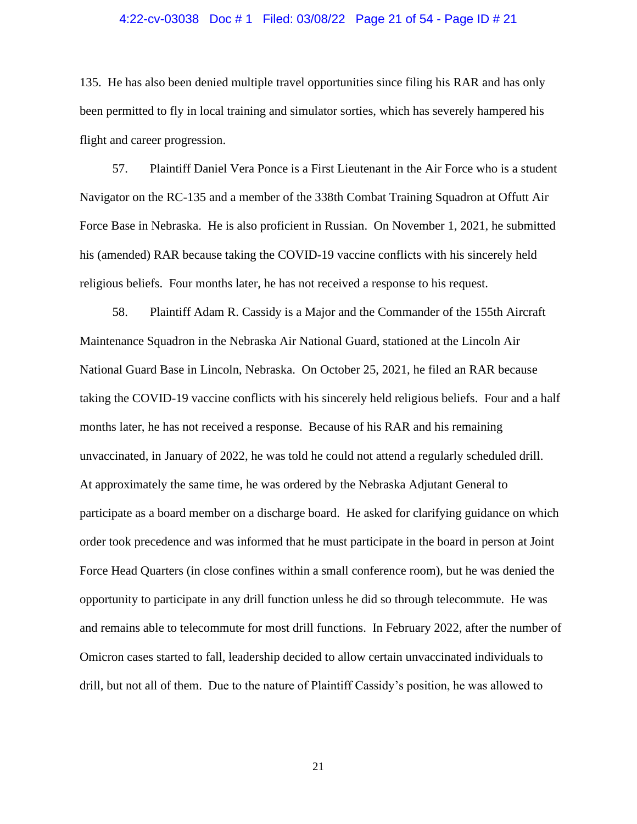#### 4:22-cv-03038 Doc # 1 Filed: 03/08/22 Page 21 of 54 - Page ID # 21

135. He has also been denied multiple travel opportunities since filing his RAR and has only been permitted to fly in local training and simulator sorties, which has severely hampered his flight and career progression.

57. Plaintiff Daniel Vera Ponce is a First Lieutenant in the Air Force who is a student Navigator on the RC-135 and a member of the 338th Combat Training Squadron at Offutt Air Force Base in Nebraska. He is also proficient in Russian. On November 1, 2021, he submitted his (amended) RAR because taking the COVID-19 vaccine conflicts with his sincerely held religious beliefs. Four months later, he has not received a response to his request.

58. Plaintiff Adam R. Cassidy is a Major and the Commander of the 155th Aircraft Maintenance Squadron in the Nebraska Air National Guard, stationed at the Lincoln Air National Guard Base in Lincoln, Nebraska. On October 25, 2021, he filed an RAR because taking the COVID-19 vaccine conflicts with his sincerely held religious beliefs. Four and a half months later, he has not received a response. Because of his RAR and his remaining unvaccinated, in January of 2022, he was told he could not attend a regularly scheduled drill. At approximately the same time, he was ordered by the Nebraska Adjutant General to participate as a board member on a discharge board. He asked for clarifying guidance on which order took precedence and was informed that he must participate in the board in person at Joint Force Head Quarters (in close confines within a small conference room), but he was denied the opportunity to participate in any drill function unless he did so through telecommute. He was and remains able to telecommute for most drill functions. In February 2022, after the number of Omicron cases started to fall, leadership decided to allow certain unvaccinated individuals to drill, but not all of them. Due to the nature of Plaintiff Cassidy's position, he was allowed to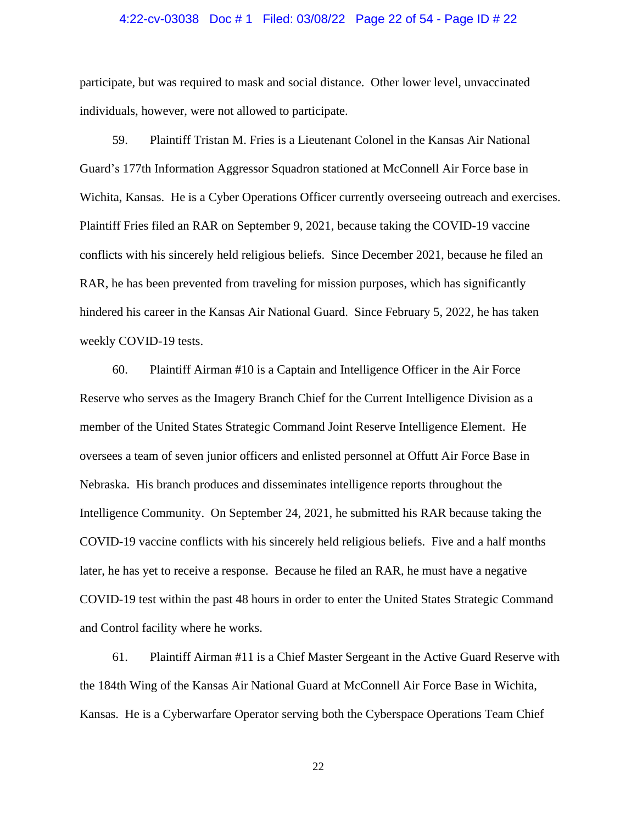#### 4:22-cv-03038 Doc # 1 Filed: 03/08/22 Page 22 of 54 - Page ID # 22

participate, but was required to mask and social distance. Other lower level, unvaccinated individuals, however, were not allowed to participate.

59. Plaintiff Tristan M. Fries is a Lieutenant Colonel in the Kansas Air National Guard's 177th Information Aggressor Squadron stationed at McConnell Air Force base in Wichita, Kansas. He is a Cyber Operations Officer currently overseeing outreach and exercises. Plaintiff Fries filed an RAR on September 9, 2021, because taking the COVID-19 vaccine conflicts with his sincerely held religious beliefs. Since December 2021, because he filed an RAR, he has been prevented from traveling for mission purposes, which has significantly hindered his career in the Kansas Air National Guard. Since February 5, 2022, he has taken weekly COVID-19 tests.

60. Plaintiff Airman #10 is a Captain and Intelligence Officer in the Air Force Reserve who serves as the Imagery Branch Chief for the Current Intelligence Division as a member of the United States Strategic Command Joint Reserve Intelligence Element. He oversees a team of seven junior officers and enlisted personnel at Offutt Air Force Base in Nebraska. His branch produces and disseminates intelligence reports throughout the Intelligence Community. On September 24, 2021, he submitted his RAR because taking the COVID-19 vaccine conflicts with his sincerely held religious beliefs. Five and a half months later, he has yet to receive a response. Because he filed an RAR, he must have a negative COVID-19 test within the past 48 hours in order to enter the United States Strategic Command and Control facility where he works.

61. Plaintiff Airman #11 is a Chief Master Sergeant in the Active Guard Reserve with the 184th Wing of the Kansas Air National Guard at McConnell Air Force Base in Wichita, Kansas. He is a Cyberwarfare Operator serving both the Cyberspace Operations Team Chief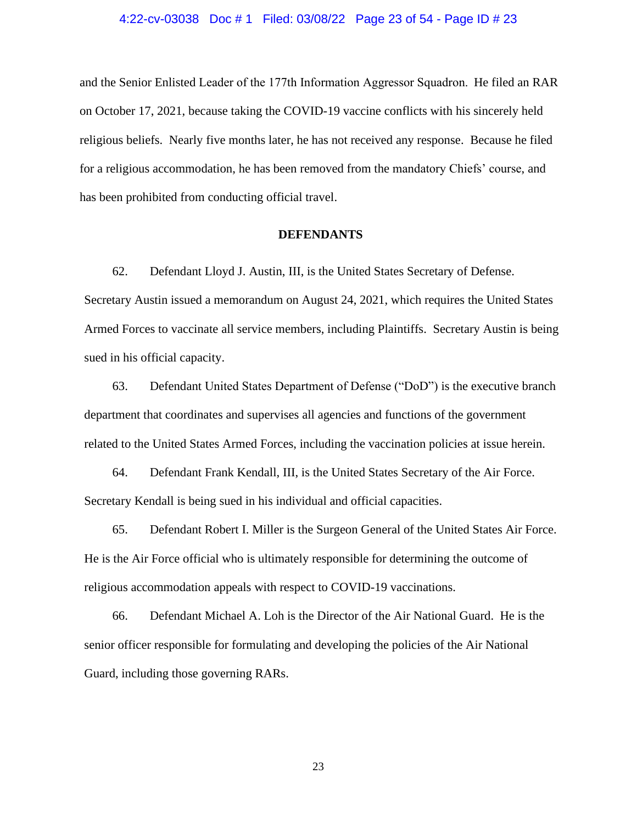#### 4:22-cv-03038 Doc # 1 Filed: 03/08/22 Page 23 of 54 - Page ID # 23

and the Senior Enlisted Leader of the 177th Information Aggressor Squadron.  He filed an RAR on October 17, 2021, because taking the COVID-19 vaccine conflicts with his sincerely held religious beliefs. Nearly five months later, he has not received any response. Because he filed for a religious accommodation, he has been removed from the mandatory Chiefs' course, and has been prohibited from conducting official travel.

# **DEFENDANTS**

62. Defendant Lloyd J. Austin, III, is the United States Secretary of Defense. Secretary Austin issued a memorandum on August 24, 2021, which requires the United States Armed Forces to vaccinate all service members, including Plaintiffs. Secretary Austin is being sued in his official capacity.

63. Defendant United States Department of Defense ("DoD") is the executive branch department that coordinates and supervises all agencies and functions of the government related to the United States Armed Forces, including the vaccination policies at issue herein.

64. Defendant Frank Kendall, III, is the United States Secretary of the Air Force. Secretary Kendall is being sued in his individual and official capacities.

65. Defendant Robert I. Miller is the Surgeon General of the United States Air Force. He is the Air Force official who is ultimately responsible for determining the outcome of religious accommodation appeals with respect to COVID-19 vaccinations.

66. Defendant Michael A. Loh is the Director of the Air National Guard. He is the senior officer responsible for formulating and developing the policies of the Air National Guard, including those governing RARs.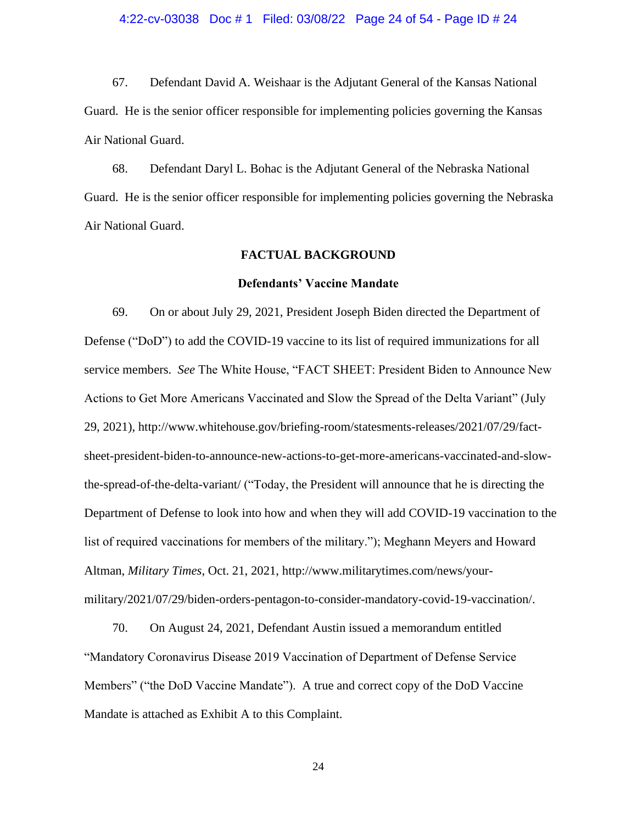#### 4:22-cv-03038 Doc # 1 Filed: 03/08/22 Page 24 of 54 - Page ID # 24

67. Defendant David A. Weishaar is the Adjutant General of the Kansas National Guard. He is the senior officer responsible for implementing policies governing the Kansas Air National Guard.

68. Defendant Daryl L. Bohac is the Adjutant General of the Nebraska National Guard. He is the senior officer responsible for implementing policies governing the Nebraska Air National Guard.

#### **FACTUAL BACKGROUND**

## **Defendants' Vaccine Mandate**

69. On or about July 29, 2021, President Joseph Biden directed the Department of Defense ("DoD") to add the COVID-19 vaccine to its list of required immunizations for all service members. *See* The White House, "FACT SHEET: President Biden to Announce New Actions to Get More Americans Vaccinated and Slow the Spread of the Delta Variant" (July 29, 2021), http://www.whitehouse.gov/briefing-room/statesments-releases/2021/07/29/factsheet-president-biden-to-announce-new-actions-to-get-more-americans-vaccinated-and-slowthe-spread-of-the-delta-variant/ ("Today, the President will announce that he is directing the Department of Defense to look into how and when they will add COVID-19 vaccination to the list of required vaccinations for members of the military."); Meghann Meyers and Howard Altman, *Military Times*, Oct. 21, 2021, http://www.militarytimes.com/news/yourmilitary/2021/07/29/biden-orders-pentagon-to-consider-mandatory-covid-19-vaccination/.

70. On August 24, 2021, Defendant Austin issued a memorandum entitled "Mandatory Coronavirus Disease 2019 Vaccination of Department of Defense Service Members" ("the DoD Vaccine Mandate"). A true and correct copy of the DoD Vaccine Mandate is attached as Exhibit A to this Complaint.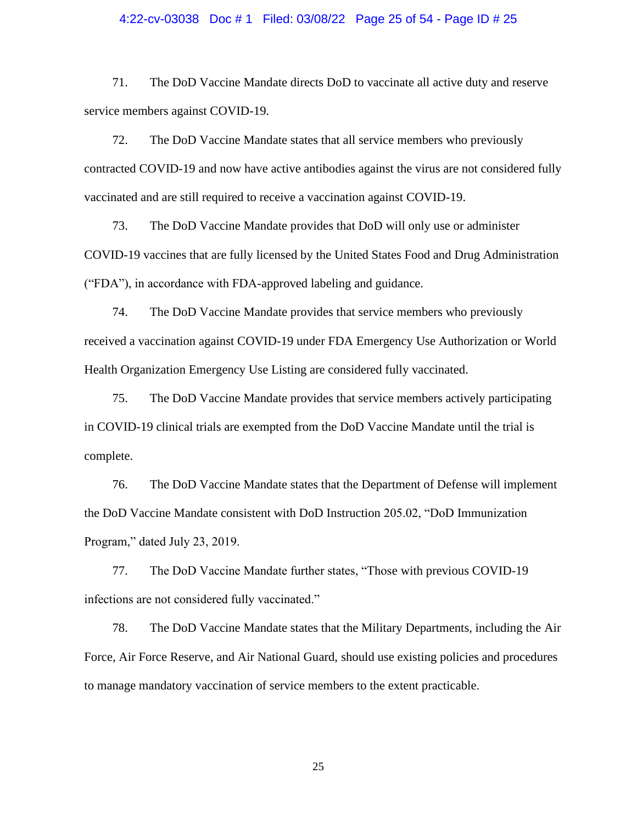#### 4:22-cv-03038 Doc # 1 Filed: 03/08/22 Page 25 of 54 - Page ID # 25

71. The DoD Vaccine Mandate directs DoD to vaccinate all active duty and reserve service members against COVID-19.

72. The DoD Vaccine Mandate states that all service members who previously contracted COVID-19 and now have active antibodies against the virus are not considered fully vaccinated and are still required to receive a vaccination against COVID-19.

73. The DoD Vaccine Mandate provides that DoD will only use or administer COVID-19 vaccines that are fully licensed by the United States Food and Drug Administration ("FDA"), in accordance with FDA-approved labeling and guidance.

74. The DoD Vaccine Mandate provides that service members who previously received a vaccination against COVID-19 under FDA Emergency Use Authorization or World Health Organization Emergency Use Listing are considered fully vaccinated.

75. The DoD Vaccine Mandate provides that service members actively participating in COVID-19 clinical trials are exempted from the DoD Vaccine Mandate until the trial is complete.

76. The DoD Vaccine Mandate states that the Department of Defense will implement the DoD Vaccine Mandate consistent with DoD Instruction 205.02, "DoD Immunization Program," dated July 23, 2019.

77. The DoD Vaccine Mandate further states, "Those with previous COVID-19 infections are not considered fully vaccinated."

78. The DoD Vaccine Mandate states that the Military Departments, including the Air Force, Air Force Reserve, and Air National Guard, should use existing policies and procedures to manage mandatory vaccination of service members to the extent practicable.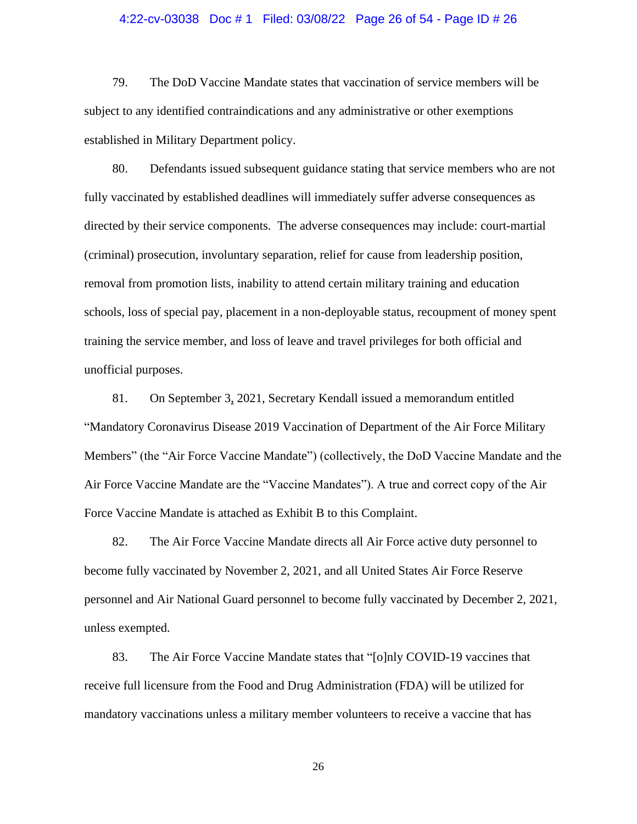#### 4:22-cv-03038 Doc # 1 Filed: 03/08/22 Page 26 of 54 - Page ID # 26

79. The DoD Vaccine Mandate states that vaccination of service members will be subject to any identified contraindications and any administrative or other exemptions established in Military Department policy.

80. Defendants issued subsequent guidance stating that service members who are not fully vaccinated by established deadlines will immediately suffer adverse consequences as directed by their service components. The adverse consequences may include: court-martial (criminal) prosecution, involuntary separation, relief for cause from leadership position, removal from promotion lists, inability to attend certain military training and education schools, loss of special pay, placement in a non-deployable status, recoupment of money spent training the service member, and loss of leave and travel privileges for both official and unofficial purposes.

81. On September 3, 2021, Secretary Kendall issued a memorandum entitled "Mandatory Coronavirus Disease 2019 Vaccination of Department of the Air Force Military Members" (the "Air Force Vaccine Mandate") (collectively, the DoD Vaccine Mandate and the Air Force Vaccine Mandate are the "Vaccine Mandates"). A true and correct copy of the Air Force Vaccine Mandate is attached as Exhibit B to this Complaint.

82. The Air Force Vaccine Mandate directs all Air Force active duty personnel to become fully vaccinated by November 2, 2021, and all United States Air Force Reserve personnel and Air National Guard personnel to become fully vaccinated by December 2, 2021, unless exempted.

83. The Air Force Vaccine Mandate states that "[o]nly COVID-19 vaccines that receive full licensure from the Food and Drug Administration (FDA) will be utilized for mandatory vaccinations unless a military member volunteers to receive a vaccine that has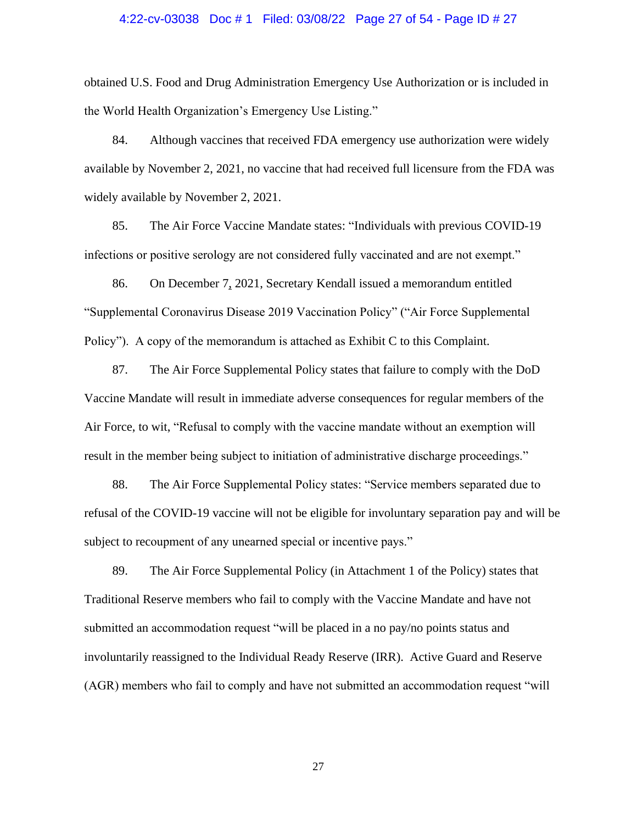## 4:22-cv-03038 Doc # 1 Filed: 03/08/22 Page 27 of 54 - Page ID # 27

obtained U.S. Food and Drug Administration Emergency Use Authorization or is included in the World Health Organization's Emergency Use Listing."

84. Although vaccines that received FDA emergency use authorization were widely available by November 2, 2021, no vaccine that had received full licensure from the FDA was widely available by November 2, 2021.

85. The Air Force Vaccine Mandate states: "Individuals with previous COVID-19 infections or positive serology are not considered fully vaccinated and are not exempt."

86. On December 7, 2021, Secretary Kendall issued a memorandum entitled "Supplemental Coronavirus Disease 2019 Vaccination Policy" ("Air Force Supplemental Policy"). A copy of the memorandum is attached as Exhibit C to this Complaint.

87. The Air Force Supplemental Policy states that failure to comply with the DoD Vaccine Mandate will result in immediate adverse consequences for regular members of the Air Force, to wit, "Refusal to comply with the vaccine mandate without an exemption will result in the member being subject to initiation of administrative discharge proceedings."

88. The Air Force Supplemental Policy states: "Service members separated due to refusal of the COVID-19 vaccine will not be eligible for involuntary separation pay and will be subject to recoupment of any unearned special or incentive pays."

89. The Air Force Supplemental Policy (in Attachment 1 of the Policy) states that Traditional Reserve members who fail to comply with the Vaccine Mandate and have not submitted an accommodation request "will be placed in a no pay/no points status and involuntarily reassigned to the Individual Ready Reserve (IRR). Active Guard and Reserve (AGR) members who fail to comply and have not submitted an accommodation request "will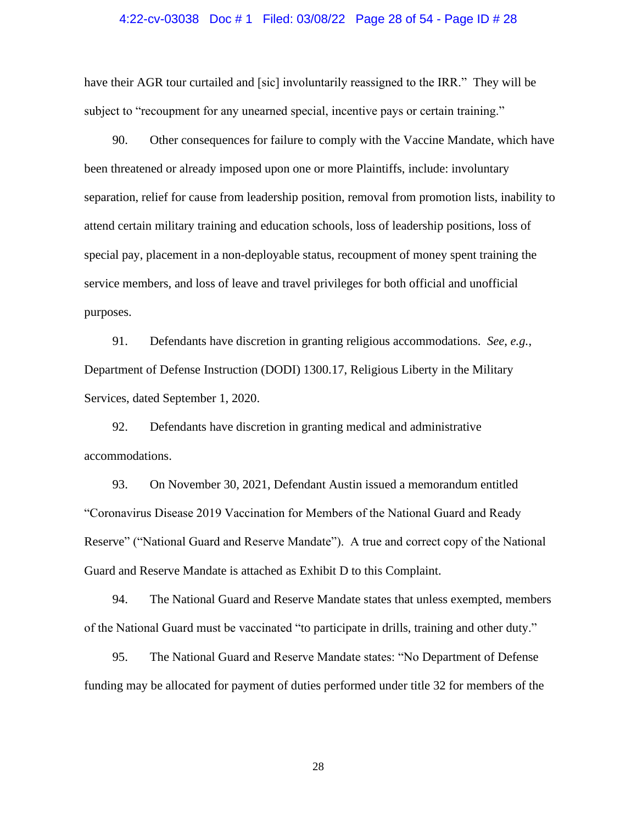#### 4:22-cv-03038 Doc # 1 Filed: 03/08/22 Page 28 of 54 - Page ID # 28

have their AGR tour curtailed and [sic] involuntarily reassigned to the IRR." They will be subject to "recoupment for any unearned special, incentive pays or certain training."

90. Other consequences for failure to comply with the Vaccine Mandate, which have been threatened or already imposed upon one or more Plaintiffs, include: involuntary separation, relief for cause from leadership position, removal from promotion lists, inability to attend certain military training and education schools, loss of leadership positions, loss of special pay, placement in a non-deployable status, recoupment of money spent training the service members, and loss of leave and travel privileges for both official and unofficial purposes.

91. Defendants have discretion in granting religious accommodations. *See*, *e.g.*, Department of Defense Instruction (DODI) 1300.17, Religious Liberty in the Military Services, dated September 1, 2020.

92. Defendants have discretion in granting medical and administrative accommodations.

93. On November 30, 2021, Defendant Austin issued a memorandum entitled "Coronavirus Disease 2019 Vaccination for Members of the National Guard and Ready Reserve" ("National Guard and Reserve Mandate"). A true and correct copy of the National Guard and Reserve Mandate is attached as Exhibit D to this Complaint.

94. The National Guard and Reserve Mandate states that unless exempted, members of the National Guard must be vaccinated "to participate in drills, training and other duty."

95. The National Guard and Reserve Mandate states: "No Department of Defense funding may be allocated for payment of duties performed under title 32 for members of the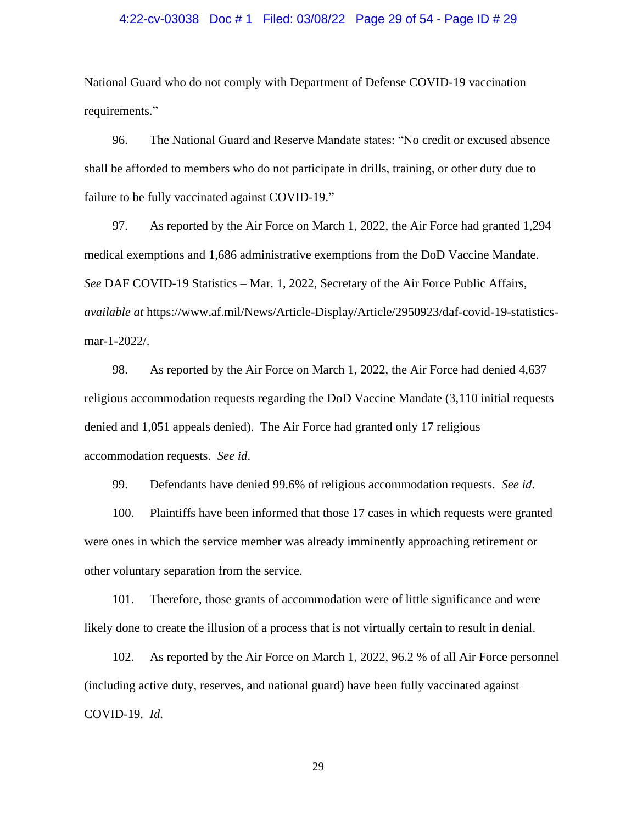#### 4:22-cv-03038 Doc # 1 Filed: 03/08/22 Page 29 of 54 - Page ID # 29

National Guard who do not comply with Department of Defense COVID-19 vaccination requirements."

96. The National Guard and Reserve Mandate states: "No credit or excused absence shall be afforded to members who do not participate in drills, training, or other duty due to failure to be fully vaccinated against COVID-19."

97. As reported by the Air Force on March 1, 2022, the Air Force had granted 1,294 medical exemptions and 1,686 administrative exemptions from the DoD Vaccine Mandate. *See* DAF COVID-19 Statistics – Mar. 1, 2022, Secretary of the Air Force Public Affairs, *available at* https://www.af.mil/News/Article-Display/Article/2950923/daf-covid-19-statisticsmar-1-2022/.

98. As reported by the Air Force on March 1, 2022, the Air Force had denied 4,637 religious accommodation requests regarding the DoD Vaccine Mandate (3,110 initial requests denied and 1,051 appeals denied). The Air Force had granted only 17 religious accommodation requests. *See id*.

99. Defendants have denied 99.6% of religious accommodation requests. *See id*.

100. Plaintiffs have been informed that those 17 cases in which requests were granted were ones in which the service member was already imminently approaching retirement or other voluntary separation from the service.

101. Therefore, those grants of accommodation were of little significance and were likely done to create the illusion of a process that is not virtually certain to result in denial.

102. As reported by the Air Force on March 1, 2022, 96.2 % of all Air Force personnel (including active duty, reserves, and national guard) have been fully vaccinated against COVID-19. *Id*.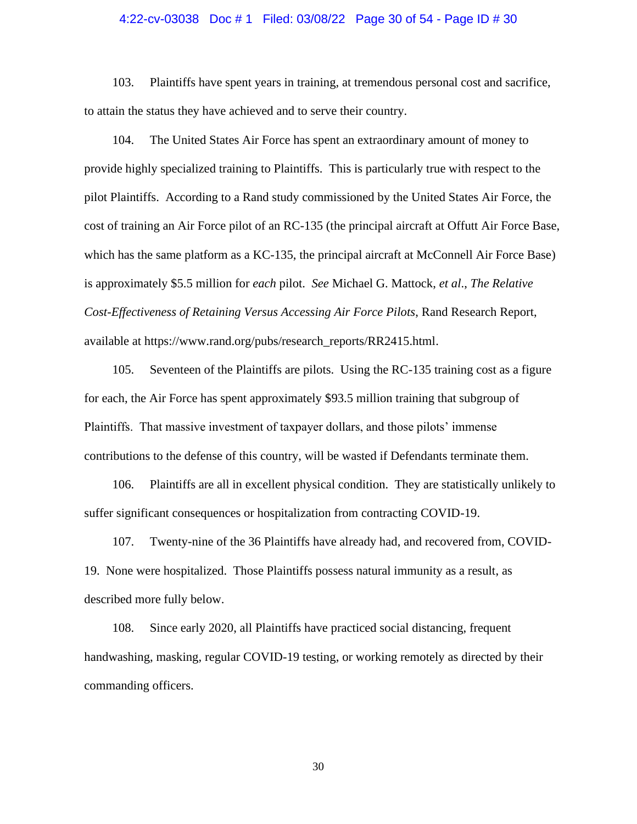#### 4:22-cv-03038 Doc # 1 Filed: 03/08/22 Page 30 of 54 - Page ID # 30

103. Plaintiffs have spent years in training, at tremendous personal cost and sacrifice, to attain the status they have achieved and to serve their country.

104. The United States Air Force has spent an extraordinary amount of money to provide highly specialized training to Plaintiffs. This is particularly true with respect to the pilot Plaintiffs. According to a Rand study commissioned by the United States Air Force, the cost of training an Air Force pilot of an RC-135 (the principal aircraft at Offutt Air Force Base, which has the same platform as a KC-135, the principal aircraft at McConnell Air Force Base) is approximately \$5.5 million for *each* pilot. *See* Michael G. Mattock, *et al*., *The Relative Cost-Effectiveness of Retaining Versus Accessing Air Force Pilots*, Rand Research Report, available at https://www.rand.org/pubs/research\_reports/RR2415.html.

105. Seventeen of the Plaintiffs are pilots. Using the RC-135 training cost as a figure for each, the Air Force has spent approximately \$93.5 million training that subgroup of Plaintiffs. That massive investment of taxpayer dollars, and those pilots' immense contributions to the defense of this country, will be wasted if Defendants terminate them.

106. Plaintiffs are all in excellent physical condition. They are statistically unlikely to suffer significant consequences or hospitalization from contracting COVID-19.

107. Twenty-nine of the 36 Plaintiffs have already had, and recovered from, COVID-19. None were hospitalized. Those Plaintiffs possess natural immunity as a result, as described more fully below.

108. Since early 2020, all Plaintiffs have practiced social distancing, frequent handwashing, masking, regular COVID-19 testing, or working remotely as directed by their commanding officers.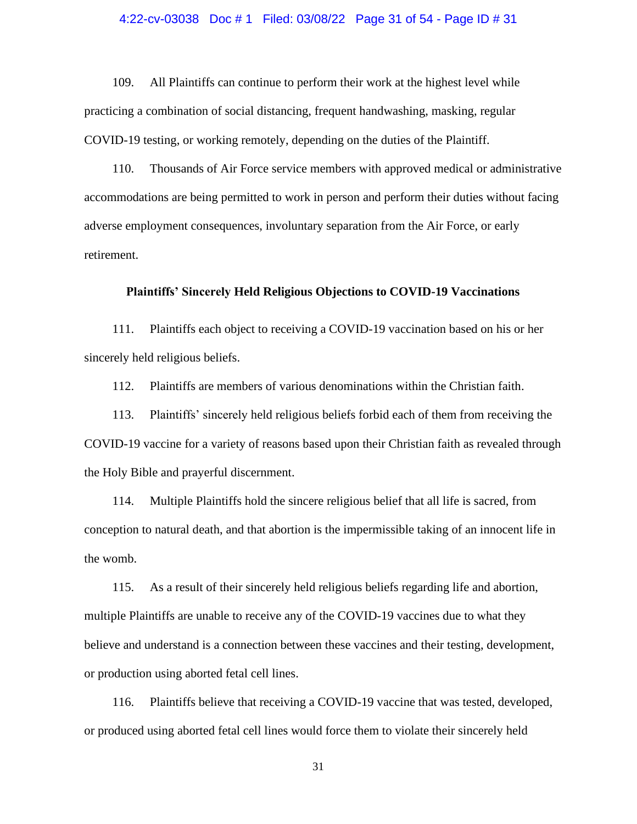## 4:22-cv-03038 Doc # 1 Filed: 03/08/22 Page 31 of 54 - Page ID # 31

109. All Plaintiffs can continue to perform their work at the highest level while practicing a combination of social distancing, frequent handwashing, masking, regular COVID-19 testing, or working remotely, depending on the duties of the Plaintiff.

110. Thousands of Air Force service members with approved medical or administrative accommodations are being permitted to work in person and perform their duties without facing adverse employment consequences, involuntary separation from the Air Force, or early retirement.

## **Plaintiffs' Sincerely Held Religious Objections to COVID-19 Vaccinations**

111. Plaintiffs each object to receiving a COVID-19 vaccination based on his or her sincerely held religious beliefs.

112. Plaintiffs are members of various denominations within the Christian faith.

113. Plaintiffs' sincerely held religious beliefs forbid each of them from receiving the COVID-19 vaccine for a variety of reasons based upon their Christian faith as revealed through the Holy Bible and prayerful discernment.

114. Multiple Plaintiffs hold the sincere religious belief that all life is sacred, from conception to natural death, and that abortion is the impermissible taking of an innocent life in the womb.

115. As a result of their sincerely held religious beliefs regarding life and abortion, multiple Plaintiffs are unable to receive any of the COVID-19 vaccines due to what they believe and understand is a connection between these vaccines and their testing, development, or production using aborted fetal cell lines.

116. Plaintiffs believe that receiving a COVID-19 vaccine that was tested, developed, or produced using aborted fetal cell lines would force them to violate their sincerely held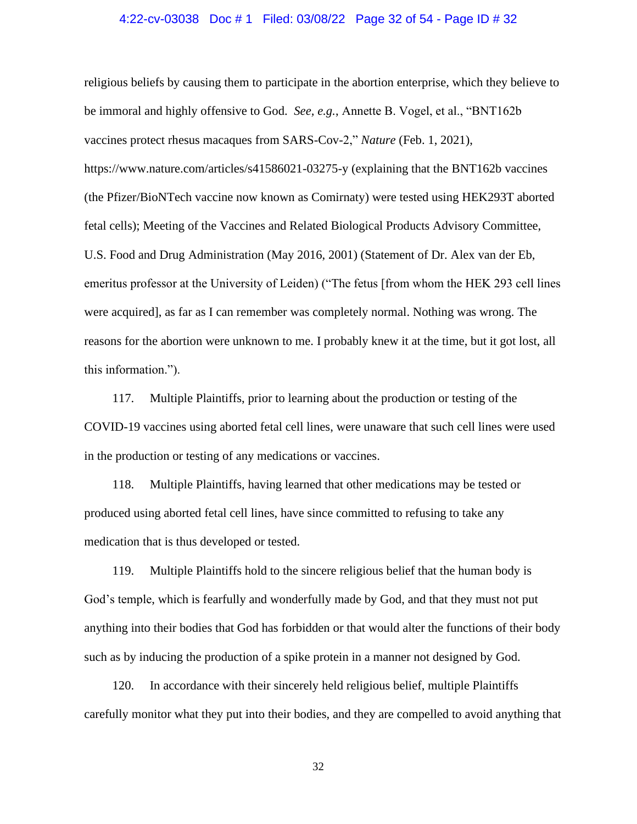### 4:22-cv-03038 Doc # 1 Filed: 03/08/22 Page 32 of 54 - Page ID # 32

religious beliefs by causing them to participate in the abortion enterprise, which they believe to be immoral and highly offensive to God. *See, e.g.*, Annette B. Vogel, et al., "BNT162b vaccines protect rhesus macaques from SARS-Cov-2," *Nature* (Feb. 1, 2021), https://www.nature.com/articles/s41586021-03275-y (explaining that the BNT162b vaccines (the Pfizer/BioNTech vaccine now known as Comirnaty) were tested using HEK293T aborted fetal cells); Meeting of the Vaccines and Related Biological Products Advisory Committee, U.S. Food and Drug Administration (May 2016, 2001) (Statement of Dr. Alex van der Eb, emeritus professor at the University of Leiden) ("The fetus [from whom the HEK 293 cell lines were acquired], as far as I can remember was completely normal. Nothing was wrong. The reasons for the abortion were unknown to me. I probably knew it at the time, but it got lost, all this information.").

117. Multiple Plaintiffs, prior to learning about the production or testing of the COVID-19 vaccines using aborted fetal cell lines, were unaware that such cell lines were used in the production or testing of any medications or vaccines.

118. Multiple Plaintiffs, having learned that other medications may be tested or produced using aborted fetal cell lines, have since committed to refusing to take any medication that is thus developed or tested.

119. Multiple Plaintiffs hold to the sincere religious belief that the human body is God's temple, which is fearfully and wonderfully made by God, and that they must not put anything into their bodies that God has forbidden or that would alter the functions of their body such as by inducing the production of a spike protein in a manner not designed by God.

120. In accordance with their sincerely held religious belief, multiple Plaintiffs carefully monitor what they put into their bodies, and they are compelled to avoid anything that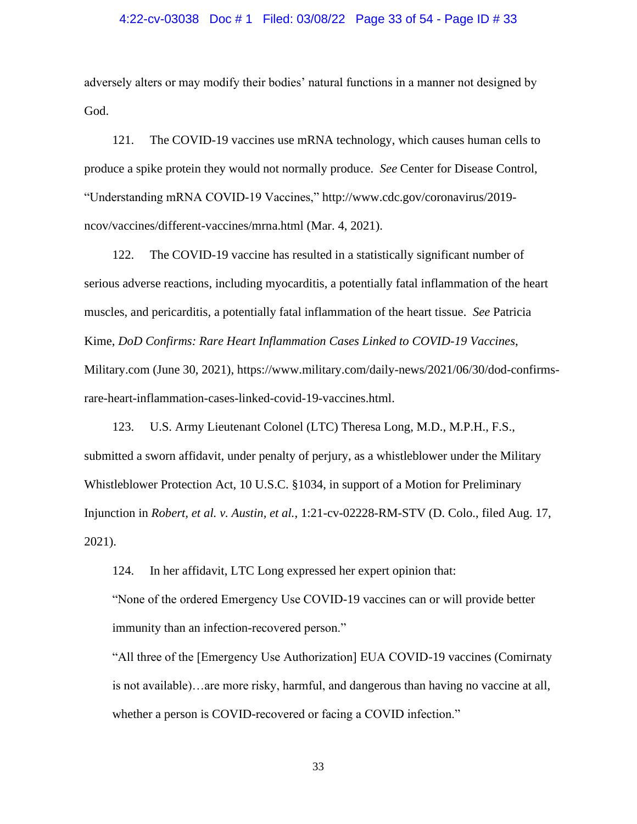# 4:22-cv-03038 Doc # 1 Filed: 03/08/22 Page 33 of 54 - Page ID # 33

adversely alters or may modify their bodies' natural functions in a manner not designed by God.

121. The COVID-19 vaccines use mRNA technology, which causes human cells to produce a spike protein they would not normally produce. *See* Center for Disease Control, "Understanding mRNA COVID-19 Vaccines," http://www.cdc.gov/coronavirus/2019 ncov/vaccines/different-vaccines/mrna.html (Mar. 4, 2021).

122. The COVID-19 vaccine has resulted in a statistically significant number of serious adverse reactions, including myocarditis, a potentially fatal inflammation of the heart muscles, and pericarditis, a potentially fatal inflammation of the heart tissue. *See* Patricia Kime, *DoD Confirms: Rare Heart Inflammation Cases Linked to COVID-19 Vaccines*, Military.com (June 30, 2021), https://www.military.com/daily-news/2021/06/30/dod-confirmsrare-heart-inflammation-cases-linked-covid-19-vaccines.html.

123. U.S. Army Lieutenant Colonel (LTC) Theresa Long, M.D., M.P.H., F.S., submitted a sworn affidavit, under penalty of perjury, as a whistleblower under the Military Whistleblower Protection Act, 10 U.S.C. §1034, in support of a Motion for Preliminary Injunction in *Robert, et al. v. Austin, et al.*, 1:21-cv-02228-RM-STV (D. Colo., filed Aug. 17, 2021).

124. In her affidavit, LTC Long expressed her expert opinion that:

"None of the ordered Emergency Use COVID-19 vaccines can or will provide better immunity than an infection-recovered person."

"All three of the [Emergency Use Authorization] EUA COVID-19 vaccines (Comirnaty is not available)…are more risky, harmful, and dangerous than having no vaccine at all, whether a person is COVID-recovered or facing a COVID infection."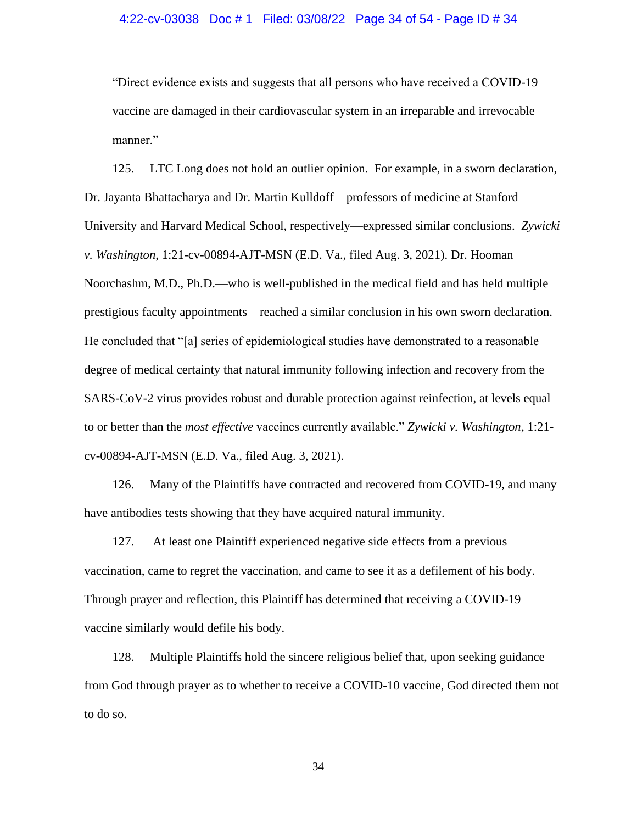# 4:22-cv-03038 Doc # 1 Filed: 03/08/22 Page 34 of 54 - Page ID # 34

"Direct evidence exists and suggests that all persons who have received a COVID-19 vaccine are damaged in their cardiovascular system in an irreparable and irrevocable manner."

125. LTC Long does not hold an outlier opinion. For example, in a sworn declaration, Dr. Jayanta Bhattacharya and Dr. Martin Kulldoff—professors of medicine at Stanford University and Harvard Medical School, respectively—expressed similar conclusions. *Zywicki v. Washington*, 1:21-cv-00894-AJT-MSN (E.D. Va., filed Aug. 3, 2021). Dr. Hooman Noorchashm, M.D., Ph.D.—who is well-published in the medical field and has held multiple prestigious faculty appointments—reached a similar conclusion in his own sworn declaration. He concluded that "[a] series of epidemiological studies have demonstrated to a reasonable degree of medical certainty that natural immunity following infection and recovery from the SARS-CoV-2 virus provides robust and durable protection against reinfection, at levels equal to or better than the *most effective* vaccines currently available." *Zywicki v. Washington*, 1:21 cv-00894-AJT-MSN (E.D. Va., filed Aug. 3, 2021).

126. Many of the Plaintiffs have contracted and recovered from COVID-19, and many have antibodies tests showing that they have acquired natural immunity.

127. At least one Plaintiff experienced negative side effects from a previous vaccination, came to regret the vaccination, and came to see it as a defilement of his body. Through prayer and reflection, this Plaintiff has determined that receiving a COVID-19 vaccine similarly would defile his body.

128. Multiple Plaintiffs hold the sincere religious belief that, upon seeking guidance from God through prayer as to whether to receive a COVID-10 vaccine, God directed them not to do so.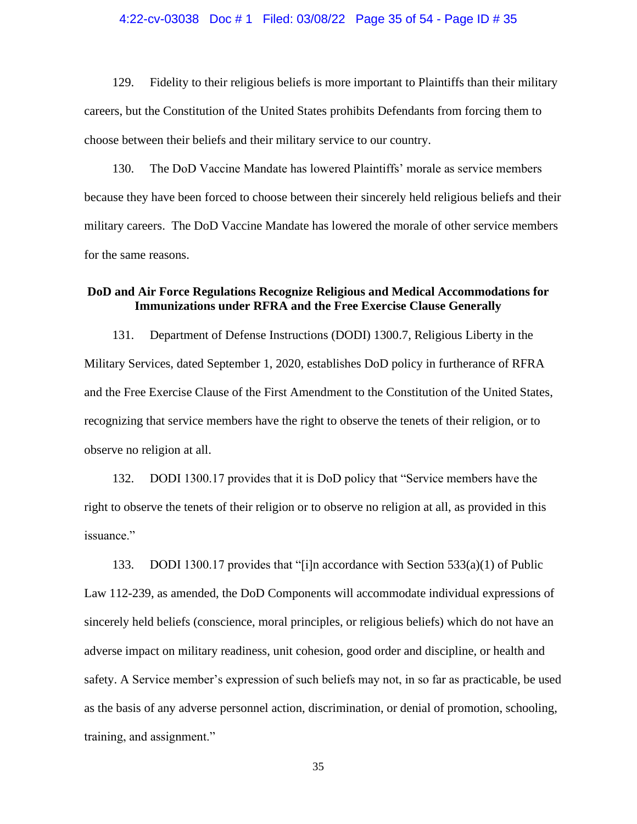#### 4:22-cv-03038 Doc # 1 Filed: 03/08/22 Page 35 of 54 - Page ID # 35

129. Fidelity to their religious beliefs is more important to Plaintiffs than their military careers, but the Constitution of the United States prohibits Defendants from forcing them to choose between their beliefs and their military service to our country.

130. The DoD Vaccine Mandate has lowered Plaintiffs' morale as service members because they have been forced to choose between their sincerely held religious beliefs and their military careers. The DoD Vaccine Mandate has lowered the morale of other service members for the same reasons.

# **DoD and Air Force Regulations Recognize Religious and Medical Accommodations for Immunizations under RFRA and the Free Exercise Clause Generally**

131. Department of Defense Instructions (DODI) 1300.7, Religious Liberty in the Military Services, dated September 1, 2020, establishes DoD policy in furtherance of RFRA and the Free Exercise Clause of the First Amendment to the Constitution of the United States, recognizing that service members have the right to observe the tenets of their religion, or to observe no religion at all.

132. DODI 1300.17 provides that it is DoD policy that "Service members have the right to observe the tenets of their religion or to observe no religion at all, as provided in this issuance."

133. DODI 1300.17 provides that "[i]n accordance with Section 533(a)(1) of Public Law 112-239, as amended, the DoD Components will accommodate individual expressions of sincerely held beliefs (conscience, moral principles, or religious beliefs) which do not have an adverse impact on military readiness, unit cohesion, good order and discipline, or health and safety. A Service member's expression of such beliefs may not, in so far as practicable, be used as the basis of any adverse personnel action, discrimination, or denial of promotion, schooling, training, and assignment."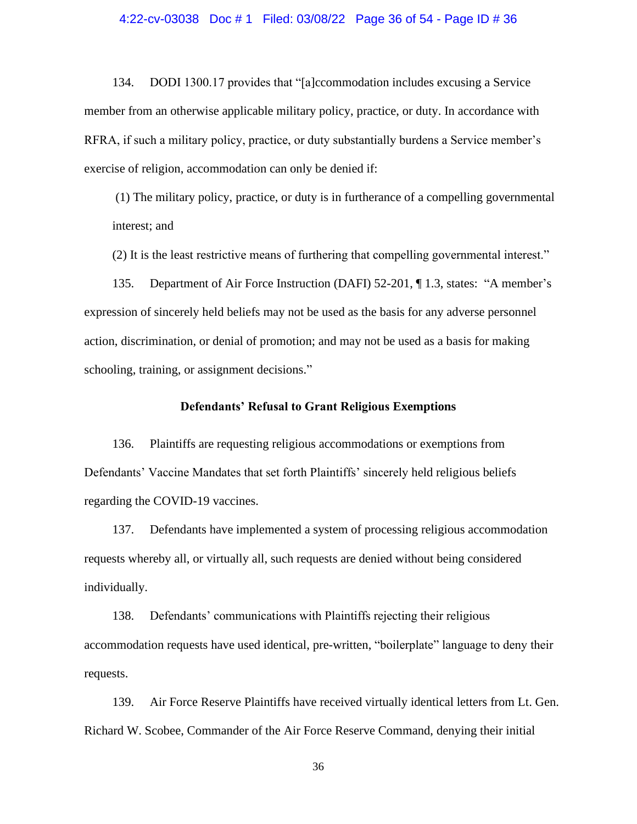#### 4:22-cv-03038 Doc # 1 Filed: 03/08/22 Page 36 of 54 - Page ID # 36

134. DODI 1300.17 provides that "[a]ccommodation includes excusing a Service member from an otherwise applicable military policy, practice, or duty. In accordance with RFRA, if such a military policy, practice, or duty substantially burdens a Service member's exercise of religion, accommodation can only be denied if:

(1) The military policy, practice, or duty is in furtherance of a compelling governmental interest; and

(2) It is the least restrictive means of furthering that compelling governmental interest."

135. Department of Air Force Instruction (DAFI) 52-201, ¶ 1.3, states: "A member's expression of sincerely held beliefs may not be used as the basis for any adverse personnel action, discrimination, or denial of promotion; and may not be used as a basis for making schooling, training, or assignment decisions."

## **Defendants' Refusal to Grant Religious Exemptions**

136. Plaintiffs are requesting religious accommodations or exemptions from Defendants' Vaccine Mandates that set forth Plaintiffs' sincerely held religious beliefs regarding the COVID-19 vaccines.

137. Defendants have implemented a system of processing religious accommodation requests whereby all, or virtually all, such requests are denied without being considered individually.

138. Defendants' communications with Plaintiffs rejecting their religious accommodation requests have used identical, pre-written, "boilerplate" language to deny their requests.

139. Air Force Reserve Plaintiffs have received virtually identical letters from Lt. Gen. Richard W. Scobee, Commander of the Air Force Reserve Command, denying their initial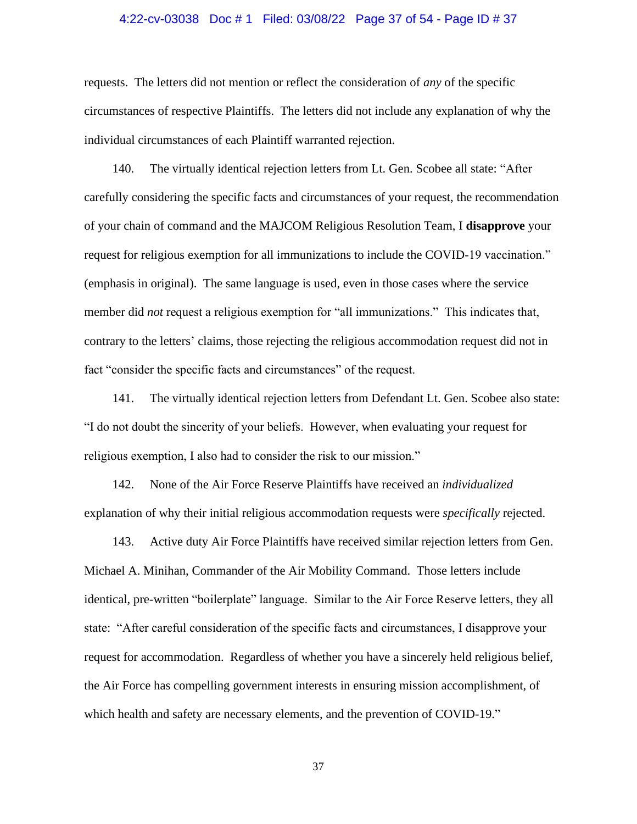## 4:22-cv-03038 Doc # 1 Filed: 03/08/22 Page 37 of 54 - Page ID # 37

requests. The letters did not mention or reflect the consideration of *any* of the specific circumstances of respective Plaintiffs. The letters did not include any explanation of why the individual circumstances of each Plaintiff warranted rejection.

140. The virtually identical rejection letters from Lt. Gen. Scobee all state: "After carefully considering the specific facts and circumstances of your request, the recommendation of your chain of command and the MAJCOM Religious Resolution Team, I **disapprove** your request for religious exemption for all immunizations to include the COVID-19 vaccination." (emphasis in original). The same language is used, even in those cases where the service member did *not* request a religious exemption for "all immunizations." This indicates that, contrary to the letters' claims, those rejecting the religious accommodation request did not in fact "consider the specific facts and circumstances" of the request.

141. The virtually identical rejection letters from Defendant Lt. Gen. Scobee also state: "I do not doubt the sincerity of your beliefs. However, when evaluating your request for religious exemption, I also had to consider the risk to our mission."

142. None of the Air Force Reserve Plaintiffs have received an *individualized*  explanation of why their initial religious accommodation requests were *specifically* rejected.

143. Active duty Air Force Plaintiffs have received similar rejection letters from Gen. Michael A. Minihan, Commander of the Air Mobility Command. Those letters include identical, pre-written "boilerplate" language. Similar to the Air Force Reserve letters, they all state: "After careful consideration of the specific facts and circumstances, I disapprove your request for accommodation. Regardless of whether you have a sincerely held religious belief, the Air Force has compelling government interests in ensuring mission accomplishment, of which health and safety are necessary elements, and the prevention of COVID-19."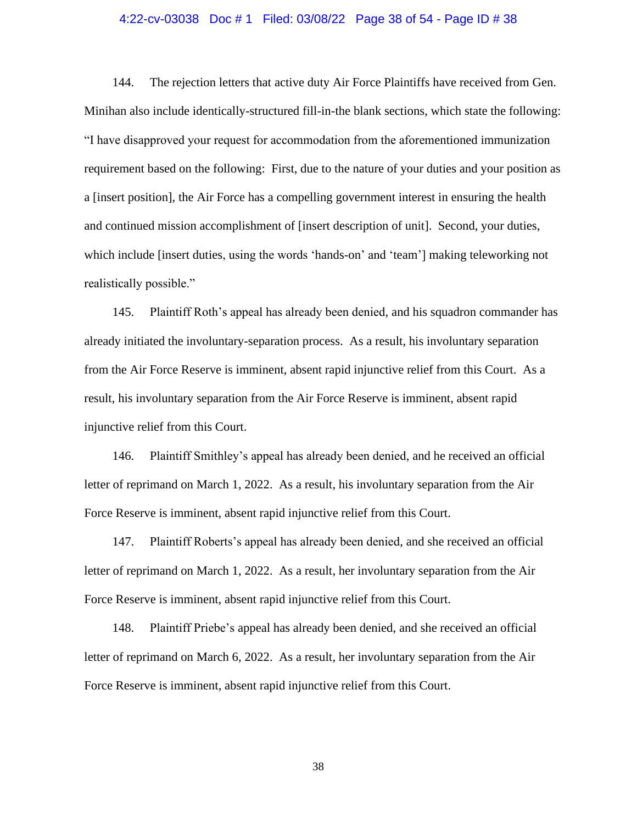#### 4:22-cv-03038 Doc # 1 Filed: 03/08/22 Page 38 of 54 - Page ID # 38

144. The rejection letters that active duty Air Force Plaintiffs have received from Gen. Minihan also include identically-structured fill-in-the blank sections, which state the following: "I have disapproved your request for accommodation from the aforementioned immunization requirement based on the following: First, due to the nature of your duties and your position as a [insert position], the Air Force has a compelling government interest in ensuring the health and continued mission accomplishment of [insert description of unit]. Second, your duties, which include [insert duties, using the words 'hands-on' and 'team'] making teleworking not realistically possible."

145. Plaintiff Roth's appeal has already been denied, and his squadron commander has already initiated the involuntary-separation process. As a result, his involuntary separation from the Air Force Reserve is imminent, absent rapid injunctive relief from this Court. As a result, his involuntary separation from the Air Force Reserve is imminent, absent rapid injunctive relief from this Court.

146. Plaintiff Smithley's appeal has already been denied, and he received an official letter of reprimand on March 1, 2022. As a result, his involuntary separation from the Air Force Reserve is imminent, absent rapid injunctive relief from this Court.

147. Plaintiff Roberts's appeal has already been denied, and she received an official letter of reprimand on March 1, 2022. As a result, her involuntary separation from the Air Force Reserve is imminent, absent rapid injunctive relief from this Court.

148. Plaintiff Priebe's appeal has already been denied, and she received an official letter of reprimand on March 6, 2022. As a result, her involuntary separation from the Air Force Reserve is imminent, absent rapid injunctive relief from this Court.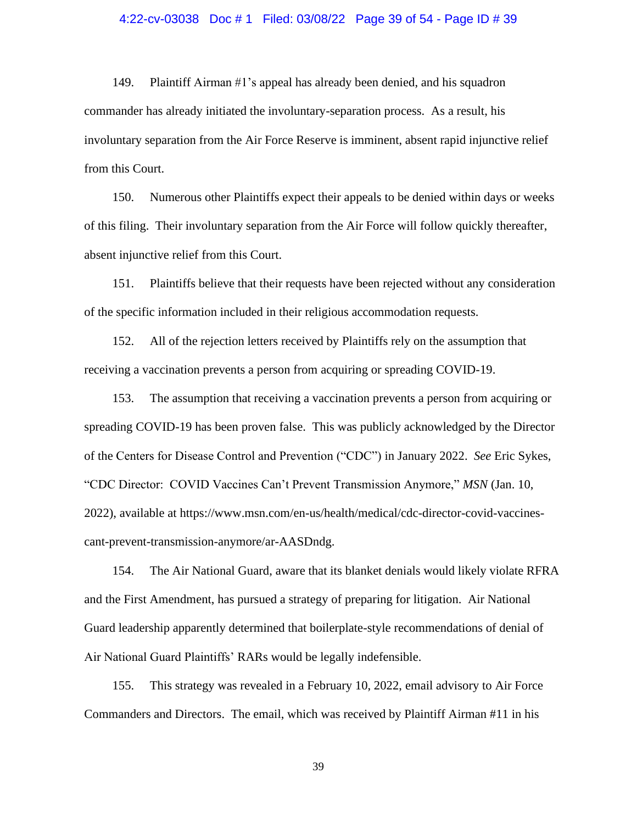# 4:22-cv-03038 Doc # 1 Filed: 03/08/22 Page 39 of 54 - Page ID # 39

149. Plaintiff Airman #1's appeal has already been denied, and his squadron commander has already initiated the involuntary-separation process. As a result, his involuntary separation from the Air Force Reserve is imminent, absent rapid injunctive relief from this Court.

150. Numerous other Plaintiffs expect their appeals to be denied within days or weeks of this filing. Their involuntary separation from the Air Force will follow quickly thereafter, absent injunctive relief from this Court.

151. Plaintiffs believe that their requests have been rejected without any consideration of the specific information included in their religious accommodation requests.

152. All of the rejection letters received by Plaintiffs rely on the assumption that receiving a vaccination prevents a person from acquiring or spreading COVID-19.

153. The assumption that receiving a vaccination prevents a person from acquiring or spreading COVID-19 has been proven false. This was publicly acknowledged by the Director of the Centers for Disease Control and Prevention ("CDC") in January 2022. *See* Eric Sykes, "CDC Director: COVID Vaccines Can't Prevent Transmission Anymore," *MSN* (Jan. 10, 2022), available at https://www.msn.com/en-us/health/medical/cdc-director-covid-vaccinescant-prevent-transmission-anymore/ar-AASDndg.

154. The Air National Guard, aware that its blanket denials would likely violate RFRA and the First Amendment, has pursued a strategy of preparing for litigation. Air National Guard leadership apparently determined that boilerplate-style recommendations of denial of Air National Guard Plaintiffs' RARs would be legally indefensible.

155. This strategy was revealed in a February 10, 2022, email advisory to Air Force Commanders and Directors. The email, which was received by Plaintiff Airman #11 in his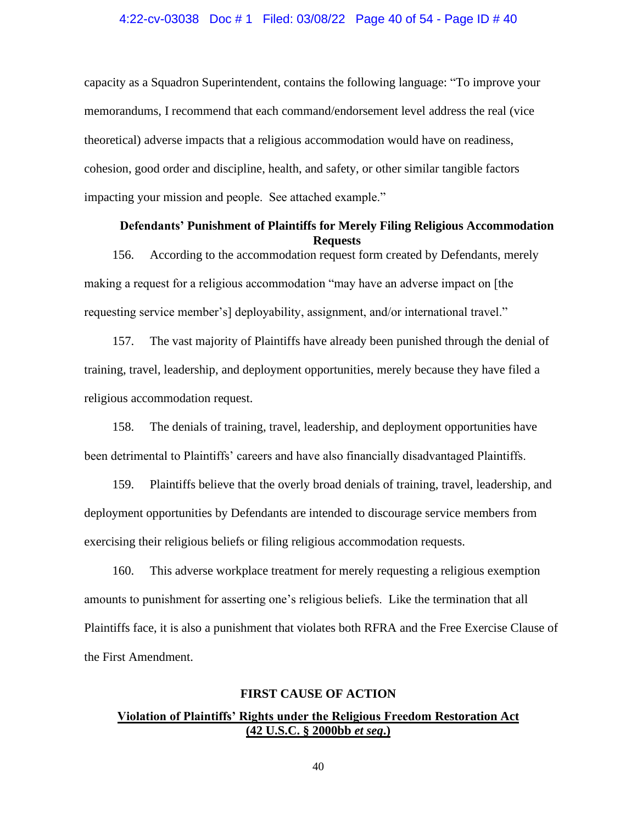# 4:22-cv-03038 Doc # 1 Filed: 03/08/22 Page 40 of 54 - Page ID # 40

capacity as a Squadron Superintendent, contains the following language: "To improve your memorandums, I recommend that each command/endorsement level address the real (vice theoretical) adverse impacts that a religious accommodation would have on readiness, cohesion, good order and discipline, health, and safety, or other similar tangible factors impacting your mission and people. See attached example."

# **Defendants' Punishment of Plaintiffs for Merely Filing Religious Accommodation Requests**

156. According to the accommodation request form created by Defendants, merely making a request for a religious accommodation "may have an adverse impact on [the requesting service member's] deployability, assignment, and/or international travel."

157. The vast majority of Plaintiffs have already been punished through the denial of training, travel, leadership, and deployment opportunities, merely because they have filed a religious accommodation request.

158. The denials of training, travel, leadership, and deployment opportunities have been detrimental to Plaintiffs' careers and have also financially disadvantaged Plaintiffs.

159. Plaintiffs believe that the overly broad denials of training, travel, leadership, and deployment opportunities by Defendants are intended to discourage service members from exercising their religious beliefs or filing religious accommodation requests.

160. This adverse workplace treatment for merely requesting a religious exemption amounts to punishment for asserting one's religious beliefs. Like the termination that all Plaintiffs face, it is also a punishment that violates both RFRA and the Free Exercise Clause of the First Amendment.

## **FIRST CAUSE OF ACTION**

# **Violation of Plaintiffs' Rights under the Religious Freedom Restoration Act (42 U.S.C. § 2000bb** *et seq***.)**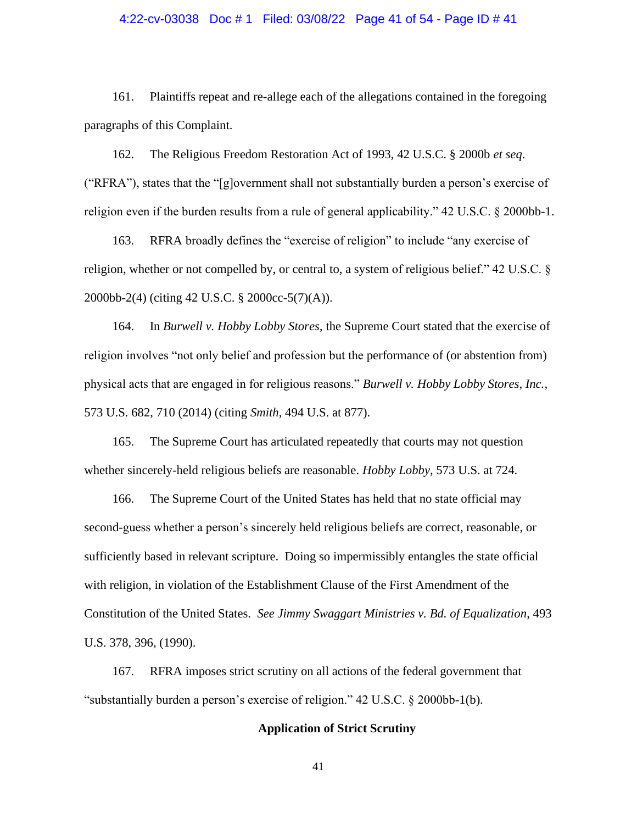#### 4:22-cv-03038 Doc # 1 Filed: 03/08/22 Page 41 of 54 - Page ID # 41

161. Plaintiffs repeat and re-allege each of the allegations contained in the foregoing paragraphs of this Complaint.

162. The Religious Freedom Restoration Act of 1993, 42 U.S.C. § 2000b *et seq*. ("RFRA"), states that the "[g]overnment shall not substantially burden a person's exercise of religion even if the burden results from a rule of general applicability." 42 U.S.C. § 2000bb-1.

163. RFRA broadly defines the "exercise of religion" to include "any exercise of religion, whether or not compelled by, or central to, a system of religious belief." 42 U.S.C. § 2000bb-2(4) (citing 42 U.S.C. § 2000cc-5(7)(A)).

164. In *Burwell v. Hobby Lobby Stores*, the Supreme Court stated that the exercise of religion involves "not only belief and profession but the performance of (or abstention from) physical acts that are engaged in for religious reasons." *Burwell v. Hobby Lobby Stores, Inc.*, 573 U.S. 682, 710 (2014) (citing *Smith*, 494 U.S. at 877).

165. The Supreme Court has articulated repeatedly that courts may not question whether sincerely-held religious beliefs are reasonable. *Hobby Lobby*, 573 U.S. at 724.

166. The Supreme Court of the United States has held that no state official may second-guess whether a person's sincerely held religious beliefs are correct, reasonable, or sufficiently based in relevant scripture. Doing so impermissibly entangles the state official with religion, in violation of the Establishment Clause of the First Amendment of the Constitution of the United States. *See Jimmy Swaggart Ministries v. Bd. of Equalization*, 493 U.S. 378, 396, (1990).

167. RFRA imposes strict scrutiny on all actions of the federal government that "substantially burden a person's exercise of religion." 42 U.S.C. § 2000bb-1(b).

## **Application of Strict Scrutiny**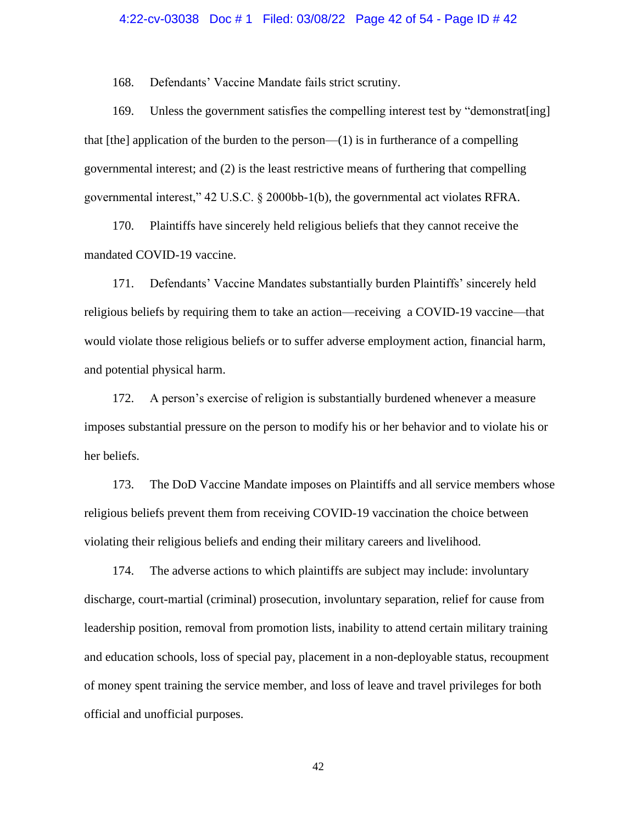#### 4:22-cv-03038 Doc # 1 Filed: 03/08/22 Page 42 of 54 - Page ID # 42

168. Defendants' Vaccine Mandate fails strict scrutiny.

169. Unless the government satisfies the compelling interest test by "demonstrat[ing] that  $[the]$  application of the burden to the person— $(1)$  is in furtherance of a compelling governmental interest; and (2) is the least restrictive means of furthering that compelling governmental interest," 42 U.S.C. § 2000bb-1(b), the governmental act violates RFRA.

170. Plaintiffs have sincerely held religious beliefs that they cannot receive the mandated COVID-19 vaccine.

171. Defendants' Vaccine Mandates substantially burden Plaintiffs' sincerely held religious beliefs by requiring them to take an action—receiving a COVID-19 vaccine—that would violate those religious beliefs or to suffer adverse employment action, financial harm, and potential physical harm.

172. A person's exercise of religion is substantially burdened whenever a measure imposes substantial pressure on the person to modify his or her behavior and to violate his or her beliefs.

173. The DoD Vaccine Mandate imposes on Plaintiffs and all service members whose religious beliefs prevent them from receiving COVID-19 vaccination the choice between violating their religious beliefs and ending their military careers and livelihood.

174. The adverse actions to which plaintiffs are subject may include: involuntary discharge, court-martial (criminal) prosecution, involuntary separation, relief for cause from leadership position, removal from promotion lists, inability to attend certain military training and education schools, loss of special pay, placement in a non-deployable status, recoupment of money spent training the service member, and loss of leave and travel privileges for both official and unofficial purposes.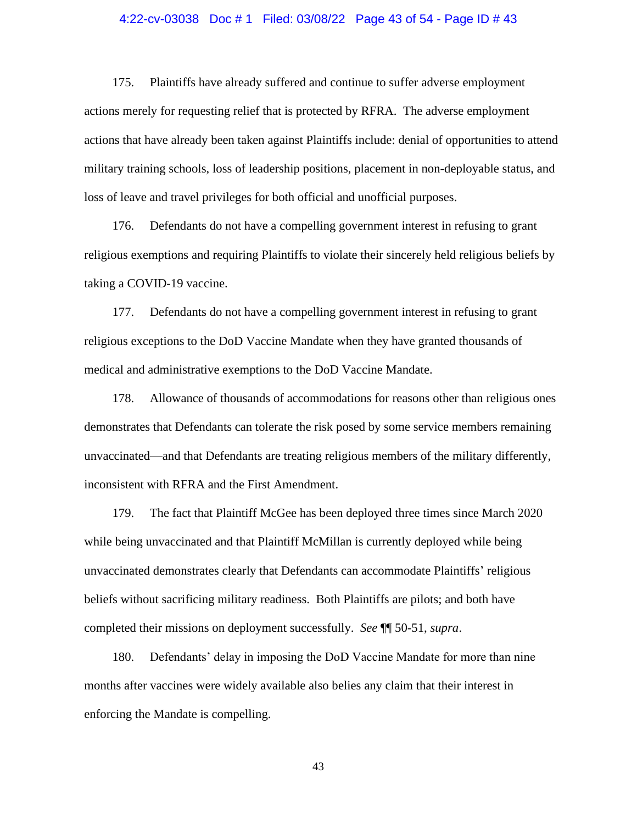# 4:22-cv-03038 Doc # 1 Filed: 03/08/22 Page 43 of 54 - Page ID # 43

175. Plaintiffs have already suffered and continue to suffer adverse employment actions merely for requesting relief that is protected by RFRA. The adverse employment actions that have already been taken against Plaintiffs include: denial of opportunities to attend military training schools, loss of leadership positions, placement in non-deployable status, and loss of leave and travel privileges for both official and unofficial purposes.

176. Defendants do not have a compelling government interest in refusing to grant religious exemptions and requiring Plaintiffs to violate their sincerely held religious beliefs by taking a COVID-19 vaccine.

177. Defendants do not have a compelling government interest in refusing to grant religious exceptions to the DoD Vaccine Mandate when they have granted thousands of medical and administrative exemptions to the DoD Vaccine Mandate.

178. Allowance of thousands of accommodations for reasons other than religious ones demonstrates that Defendants can tolerate the risk posed by some service members remaining unvaccinated—and that Defendants are treating religious members of the military differently, inconsistent with RFRA and the First Amendment.

179. The fact that Plaintiff McGee has been deployed three times since March 2020 while being unvaccinated and that Plaintiff McMillan is currently deployed while being unvaccinated demonstrates clearly that Defendants can accommodate Plaintiffs' religious beliefs without sacrificing military readiness. Both Plaintiffs are pilots; and both have completed their missions on deployment successfully. *See* ¶¶ 50-51, *supra*.

180. Defendants' delay in imposing the DoD Vaccine Mandate for more than nine months after vaccines were widely available also belies any claim that their interest in enforcing the Mandate is compelling.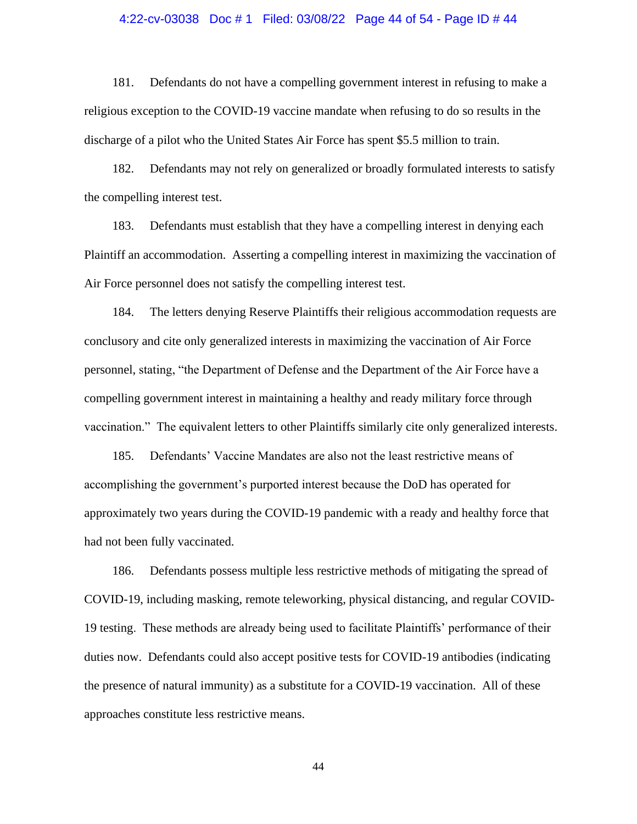# 4:22-cv-03038 Doc # 1 Filed: 03/08/22 Page 44 of 54 - Page ID # 44

181. Defendants do not have a compelling government interest in refusing to make a religious exception to the COVID-19 vaccine mandate when refusing to do so results in the discharge of a pilot who the United States Air Force has spent \$5.5 million to train.

182. Defendants may not rely on generalized or broadly formulated interests to satisfy the compelling interest test.

183. Defendants must establish that they have a compelling interest in denying each Plaintiff an accommodation. Asserting a compelling interest in maximizing the vaccination of Air Force personnel does not satisfy the compelling interest test.

184. The letters denying Reserve Plaintiffs their religious accommodation requests are conclusory and cite only generalized interests in maximizing the vaccination of Air Force personnel, stating, "the Department of Defense and the Department of the Air Force have a compelling government interest in maintaining a healthy and ready military force through vaccination." The equivalent letters to other Plaintiffs similarly cite only generalized interests.

185. Defendants' Vaccine Mandates are also not the least restrictive means of accomplishing the government's purported interest because the DoD has operated for approximately two years during the COVID-19 pandemic with a ready and healthy force that had not been fully vaccinated.

186. Defendants possess multiple less restrictive methods of mitigating the spread of COVID-19, including masking, remote teleworking, physical distancing, and regular COVID-19 testing. These methods are already being used to facilitate Plaintiffs' performance of their duties now. Defendants could also accept positive tests for COVID-19 antibodies (indicating the presence of natural immunity) as a substitute for a COVID-19 vaccination. All of these approaches constitute less restrictive means.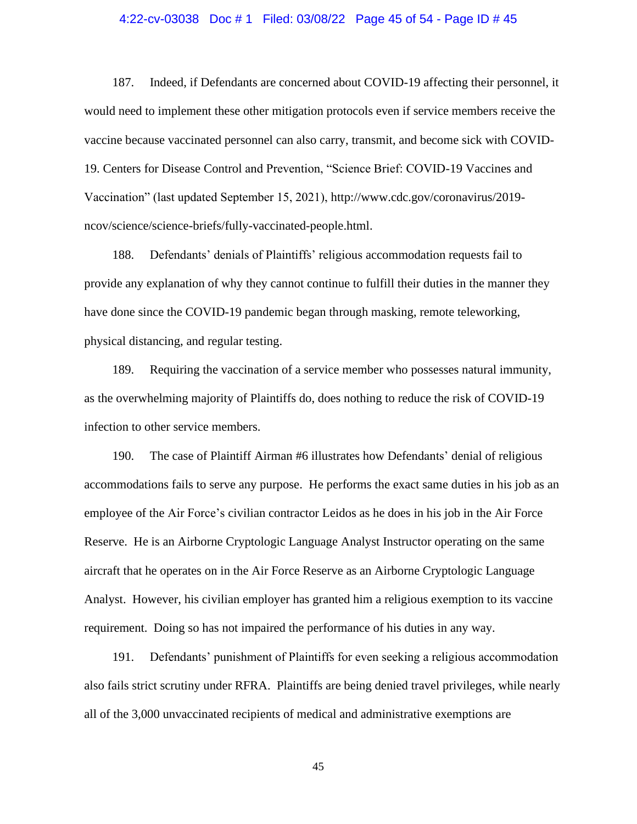# 4:22-cv-03038 Doc # 1 Filed: 03/08/22 Page 45 of 54 - Page ID # 45

187. Indeed, if Defendants are concerned about COVID-19 affecting their personnel, it would need to implement these other mitigation protocols even if service members receive the vaccine because vaccinated personnel can also carry, transmit, and become sick with COVID-19. Centers for Disease Control and Prevention, "Science Brief: COVID-19 Vaccines and Vaccination" (last updated September 15, 2021), http://www.cdc.gov/coronavirus/2019 ncov/science/science-briefs/fully-vaccinated-people.html.

188. Defendants' denials of Plaintiffs' religious accommodation requests fail to provide any explanation of why they cannot continue to fulfill their duties in the manner they have done since the COVID-19 pandemic began through masking, remote teleworking, physical distancing, and regular testing.

189. Requiring the vaccination of a service member who possesses natural immunity, as the overwhelming majority of Plaintiffs do, does nothing to reduce the risk of COVID-19 infection to other service members.

190. The case of Plaintiff Airman #6 illustrates how Defendants' denial of religious accommodations fails to serve any purpose. He performs the exact same duties in his job as an employee of the Air Force's civilian contractor Leidos as he does in his job in the Air Force Reserve. He is an Airborne Cryptologic Language Analyst Instructor operating on the same aircraft that he operates on in the Air Force Reserve as an Airborne Cryptologic Language Analyst. However, his civilian employer has granted him a religious exemption to its vaccine requirement. Doing so has not impaired the performance of his duties in any way.

191. Defendants' punishment of Plaintiffs for even seeking a religious accommodation also fails strict scrutiny under RFRA. Plaintiffs are being denied travel privileges, while nearly all of the 3,000 unvaccinated recipients of medical and administrative exemptions are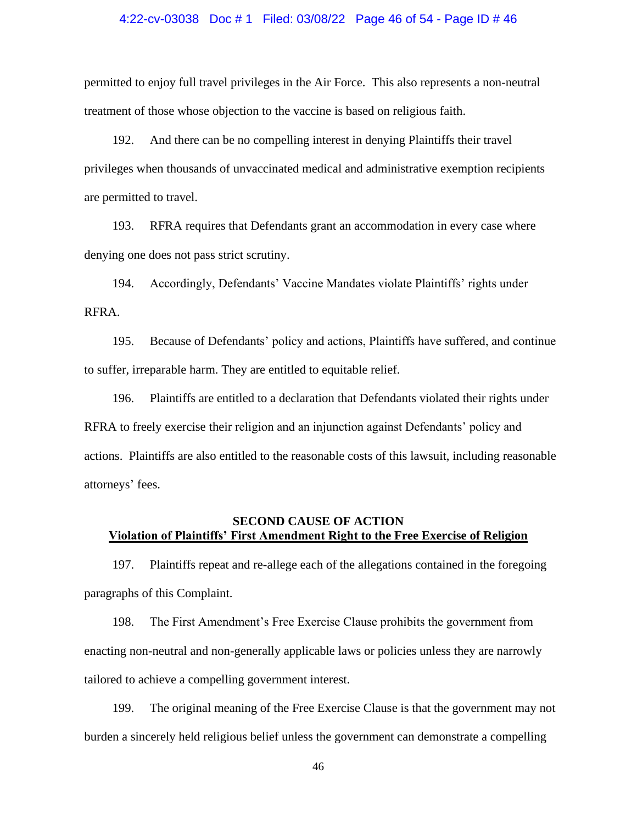#### 4:22-cv-03038 Doc # 1 Filed: 03/08/22 Page 46 of 54 - Page ID # 46

permitted to enjoy full travel privileges in the Air Force. This also represents a non-neutral treatment of those whose objection to the vaccine is based on religious faith.

192. And there can be no compelling interest in denying Plaintiffs their travel privileges when thousands of unvaccinated medical and administrative exemption recipients are permitted to travel.

193. RFRA requires that Defendants grant an accommodation in every case where denying one does not pass strict scrutiny.

194. Accordingly, Defendants' Vaccine Mandates violate Plaintiffs' rights under RFRA.

195. Because of Defendants' policy and actions, Plaintiffs have suffered, and continue to suffer, irreparable harm. They are entitled to equitable relief.

196. Plaintiffs are entitled to a declaration that Defendants violated their rights under RFRA to freely exercise their religion and an injunction against Defendants' policy and actions. Plaintiffs are also entitled to the reasonable costs of this lawsuit, including reasonable attorneys' fees.

# **SECOND CAUSE OF ACTION Violation of Plaintiffs' First Amendment Right to the Free Exercise of Religion**

197. Plaintiffs repeat and re-allege each of the allegations contained in the foregoing paragraphs of this Complaint.

198. The First Amendment's Free Exercise Clause prohibits the government from enacting non-neutral and non-generally applicable laws or policies unless they are narrowly tailored to achieve a compelling government interest.

199. The original meaning of the Free Exercise Clause is that the government may not burden a sincerely held religious belief unless the government can demonstrate a compelling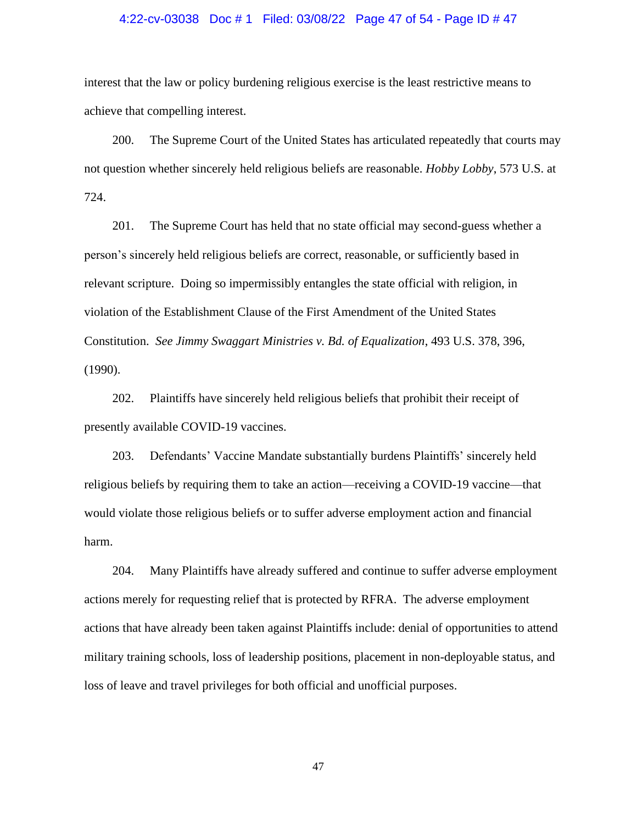#### 4:22-cv-03038 Doc # 1 Filed: 03/08/22 Page 47 of 54 - Page ID # 47

interest that the law or policy burdening religious exercise is the least restrictive means to achieve that compelling interest.

200. The Supreme Court of the United States has articulated repeatedly that courts may not question whether sincerely held religious beliefs are reasonable. *Hobby Lobby*, 573 U.S. at 724.

201. The Supreme Court has held that no state official may second-guess whether a person's sincerely held religious beliefs are correct, reasonable, or sufficiently based in relevant scripture. Doing so impermissibly entangles the state official with religion, in violation of the Establishment Clause of the First Amendment of the United States Constitution. *See Jimmy Swaggart Ministries v. Bd. of Equalization*, 493 U.S. 378, 396, (1990).

202. Plaintiffs have sincerely held religious beliefs that prohibit their receipt of presently available COVID-19 vaccines.

203. Defendants' Vaccine Mandate substantially burdens Plaintiffs' sincerely held religious beliefs by requiring them to take an action—receiving a COVID-19 vaccine—that would violate those religious beliefs or to suffer adverse employment action and financial harm.

204. Many Plaintiffs have already suffered and continue to suffer adverse employment actions merely for requesting relief that is protected by RFRA. The adverse employment actions that have already been taken against Plaintiffs include: denial of opportunities to attend military training schools, loss of leadership positions, placement in non-deployable status, and loss of leave and travel privileges for both official and unofficial purposes.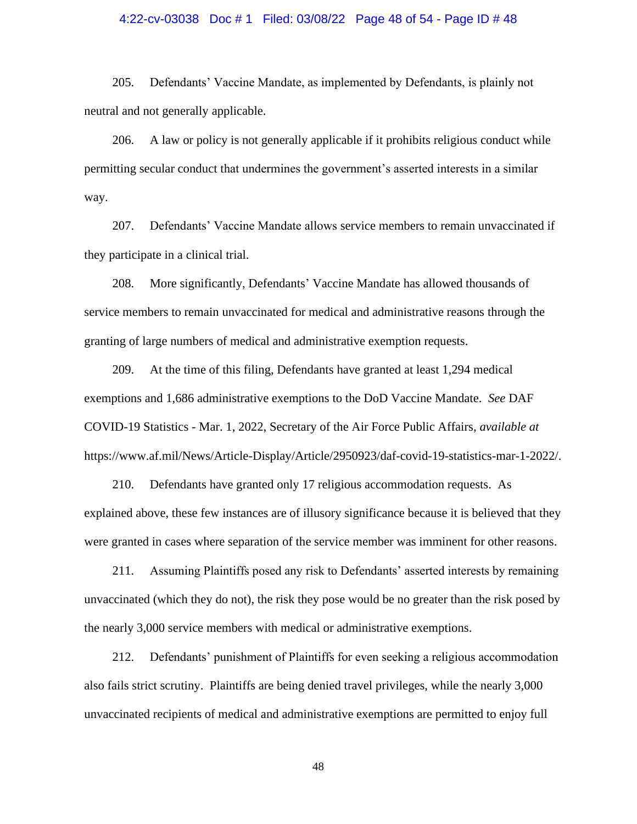# 4:22-cv-03038 Doc # 1 Filed: 03/08/22 Page 48 of 54 - Page ID # 48

205. Defendants' Vaccine Mandate, as implemented by Defendants, is plainly not neutral and not generally applicable.

206. A law or policy is not generally applicable if it prohibits religious conduct while permitting secular conduct that undermines the government's asserted interests in a similar way.

207. Defendants' Vaccine Mandate allows service members to remain unvaccinated if they participate in a clinical trial.

208. More significantly, Defendants' Vaccine Mandate has allowed thousands of service members to remain unvaccinated for medical and administrative reasons through the granting of large numbers of medical and administrative exemption requests.

209. At the time of this filing, Defendants have granted at least 1,294 medical exemptions and 1,686 administrative exemptions to the DoD Vaccine Mandate. *See* DAF COVID-19 Statistics - Mar. 1, 2022, Secretary of the Air Force Public Affairs, *available at* https://www.af.mil/News/Article-Display/Article/2950923/daf-covid-19-statistics-mar-1-2022/.

210. Defendants have granted only 17 religious accommodation requests. As explained above, these few instances are of illusory significance because it is believed that they were granted in cases where separation of the service member was imminent for other reasons.

211. Assuming Plaintiffs posed any risk to Defendants' asserted interests by remaining unvaccinated (which they do not), the risk they pose would be no greater than the risk posed by the nearly 3,000 service members with medical or administrative exemptions.

212. Defendants' punishment of Plaintiffs for even seeking a religious accommodation also fails strict scrutiny. Plaintiffs are being denied travel privileges, while the nearly 3,000 unvaccinated recipients of medical and administrative exemptions are permitted to enjoy full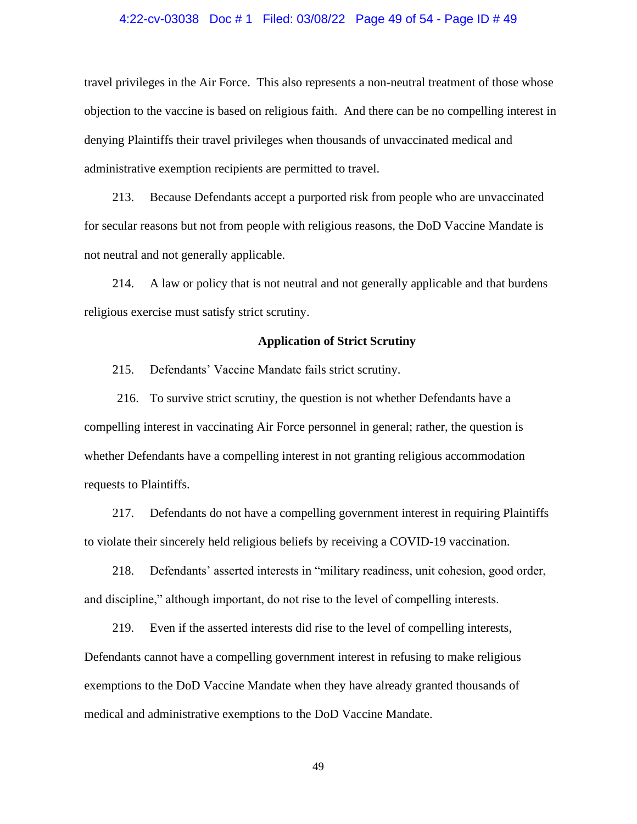#### 4:22-cv-03038 Doc # 1 Filed: 03/08/22 Page 49 of 54 - Page ID # 49

travel privileges in the Air Force. This also represents a non-neutral treatment of those whose objection to the vaccine is based on religious faith. And there can be no compelling interest in denying Plaintiffs their travel privileges when thousands of unvaccinated medical and administrative exemption recipients are permitted to travel.

213. Because Defendants accept a purported risk from people who are unvaccinated for secular reasons but not from people with religious reasons, the DoD Vaccine Mandate is not neutral and not generally applicable.

214. A law or policy that is not neutral and not generally applicable and that burdens religious exercise must satisfy strict scrutiny.

#### **Application of Strict Scrutiny**

215. Defendants' Vaccine Mandate fails strict scrutiny.

216. To survive strict scrutiny, the question is not whether Defendants have a compelling interest in vaccinating Air Force personnel in general; rather, the question is whether Defendants have a compelling interest in not granting religious accommodation requests to Plaintiffs.

217. Defendants do not have a compelling government interest in requiring Plaintiffs to violate their sincerely held religious beliefs by receiving a COVID-19 vaccination.

218. Defendants' asserted interests in "military readiness, unit cohesion, good order, and discipline," although important, do not rise to the level of compelling interests.

219. Even if the asserted interests did rise to the level of compelling interests, Defendants cannot have a compelling government interest in refusing to make religious exemptions to the DoD Vaccine Mandate when they have already granted thousands of medical and administrative exemptions to the DoD Vaccine Mandate.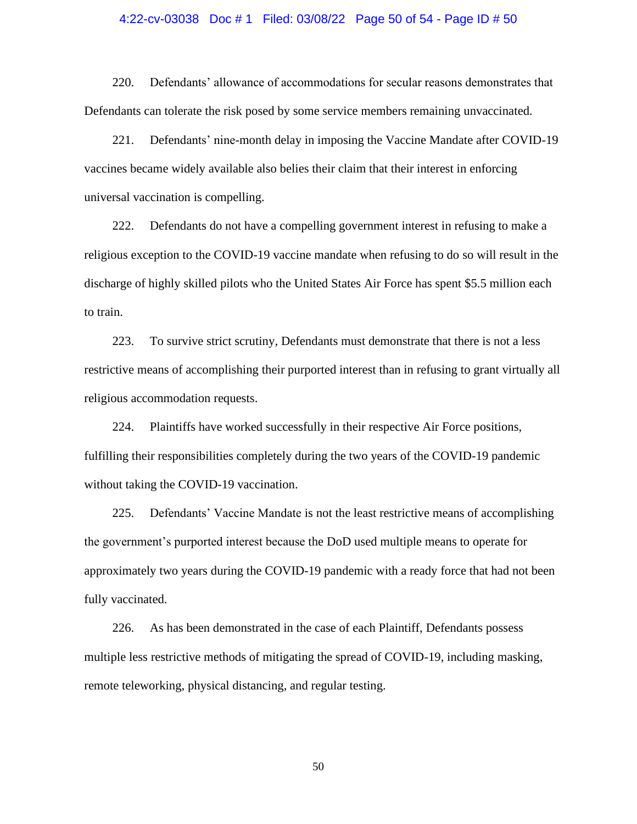#### 4:22-cv-03038 Doc # 1 Filed: 03/08/22 Page 50 of 54 - Page ID # 50

220. Defendants' allowance of accommodations for secular reasons demonstrates that Defendants can tolerate the risk posed by some service members remaining unvaccinated.

221. Defendants' nine-month delay in imposing the Vaccine Mandate after COVID-19 vaccines became widely available also belies their claim that their interest in enforcing universal vaccination is compelling.

222. Defendants do not have a compelling government interest in refusing to make a religious exception to the COVID-19 vaccine mandate when refusing to do so will result in the discharge of highly skilled pilots who the United States Air Force has spent \$5.5 million each to train.

223. To survive strict scrutiny, Defendants must demonstrate that there is not a less restrictive means of accomplishing their purported interest than in refusing to grant virtually all religious accommodation requests.

224. Plaintiffs have worked successfully in their respective Air Force positions, fulfilling their responsibilities completely during the two years of the COVID-19 pandemic without taking the COVID-19 vaccination.

225. Defendants' Vaccine Mandate is not the least restrictive means of accomplishing the government's purported interest because the DoD used multiple means to operate for approximately two years during the COVID-19 pandemic with a ready force that had not been fully vaccinated.

226. As has been demonstrated in the case of each Plaintiff, Defendants possess multiple less restrictive methods of mitigating the spread of COVID-19, including masking, remote teleworking, physical distancing, and regular testing.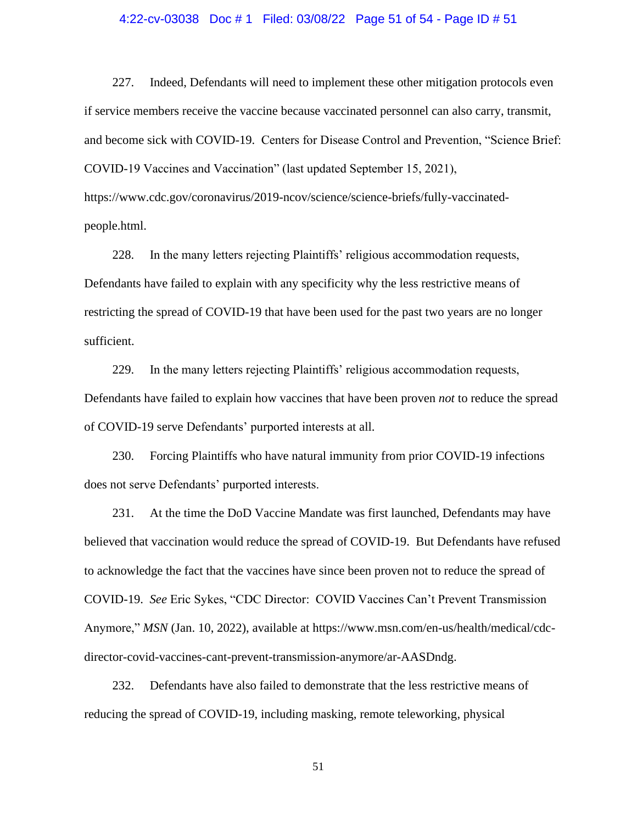#### 4:22-cv-03038 Doc # 1 Filed: 03/08/22 Page 51 of 54 - Page ID # 51

227. Indeed, Defendants will need to implement these other mitigation protocols even if service members receive the vaccine because vaccinated personnel can also carry, transmit, and become sick with COVID-19. Centers for Disease Control and Prevention, "Science Brief: COVID-19 Vaccines and Vaccination" (last updated September 15, 2021), https://www.cdc.gov/coronavirus/2019-ncov/science/science-briefs/fully-vaccinatedpeople.html.

228. In the many letters rejecting Plaintiffs' religious accommodation requests, Defendants have failed to explain with any specificity why the less restrictive means of restricting the spread of COVID-19 that have been used for the past two years are no longer sufficient.

229. In the many letters rejecting Plaintiffs' religious accommodation requests, Defendants have failed to explain how vaccines that have been proven *not* to reduce the spread of COVID-19 serve Defendants' purported interests at all.

230. Forcing Plaintiffs who have natural immunity from prior COVID-19 infections does not serve Defendants' purported interests.

231. At the time the DoD Vaccine Mandate was first launched, Defendants may have believed that vaccination would reduce the spread of COVID-19. But Defendants have refused to acknowledge the fact that the vaccines have since been proven not to reduce the spread of COVID-19. *See* Eric Sykes, "CDC Director: COVID Vaccines Can't Prevent Transmission Anymore," *MSN* (Jan. 10, 2022), available at https://www.msn.com/en-us/health/medical/cdcdirector-covid-vaccines-cant-prevent-transmission-anymore/ar-AASDndg.

232. Defendants have also failed to demonstrate that the less restrictive means of reducing the spread of COVID-19, including masking, remote teleworking, physical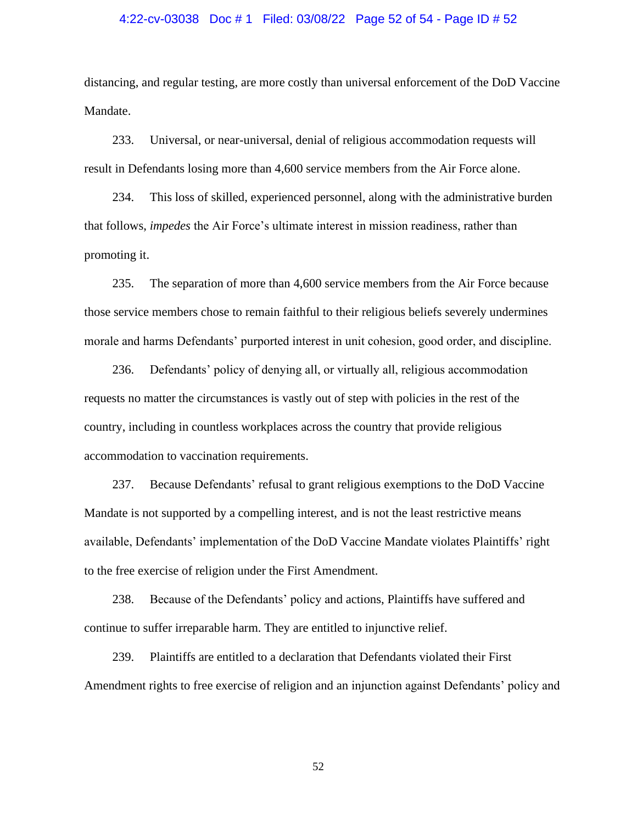#### 4:22-cv-03038 Doc # 1 Filed: 03/08/22 Page 52 of 54 - Page ID # 52

distancing, and regular testing, are more costly than universal enforcement of the DoD Vaccine Mandate.

233. Universal, or near-universal, denial of religious accommodation requests will result in Defendants losing more than 4,600 service members from the Air Force alone.

234. This loss of skilled, experienced personnel, along with the administrative burden that follows, *impedes* the Air Force's ultimate interest in mission readiness, rather than promoting it.

235. The separation of more than 4,600 service members from the Air Force because those service members chose to remain faithful to their religious beliefs severely undermines morale and harms Defendants' purported interest in unit cohesion, good order, and discipline.

236. Defendants' policy of denying all, or virtually all, religious accommodation requests no matter the circumstances is vastly out of step with policies in the rest of the country, including in countless workplaces across the country that provide religious accommodation to vaccination requirements.

237. Because Defendants' refusal to grant religious exemptions to the DoD Vaccine Mandate is not supported by a compelling interest, and is not the least restrictive means available, Defendants' implementation of the DoD Vaccine Mandate violates Plaintiffs' right to the free exercise of religion under the First Amendment.

238. Because of the Defendants' policy and actions, Plaintiffs have suffered and continue to suffer irreparable harm. They are entitled to injunctive relief.

239. Plaintiffs are entitled to a declaration that Defendants violated their First Amendment rights to free exercise of religion and an injunction against Defendants' policy and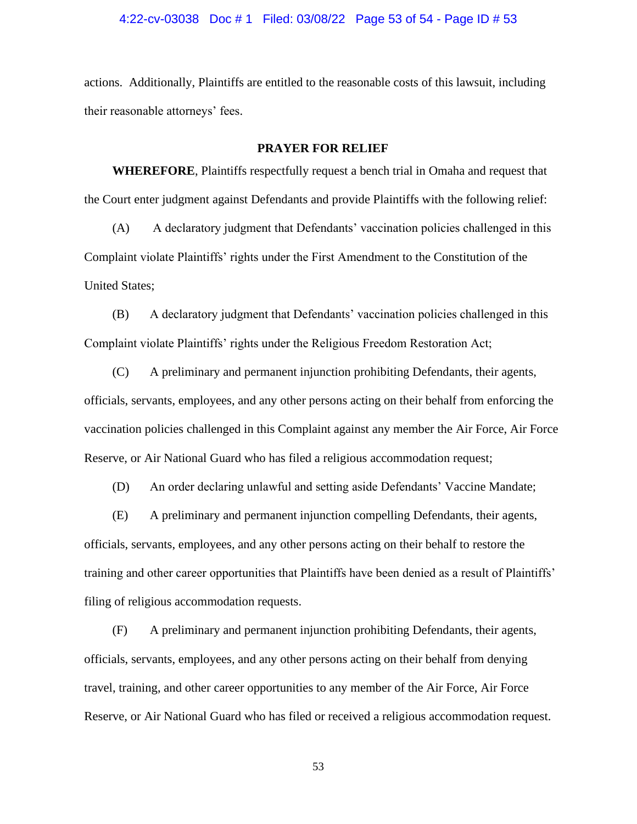## 4:22-cv-03038 Doc # 1 Filed: 03/08/22 Page 53 of 54 - Page ID # 53

actions. Additionally, Plaintiffs are entitled to the reasonable costs of this lawsuit, including their reasonable attorneys' fees.

## **PRAYER FOR RELIEF**

**WHEREFORE**, Plaintiffs respectfully request a bench trial in Omaha and request that the Court enter judgment against Defendants and provide Plaintiffs with the following relief:

(A) A declaratory judgment that Defendants' vaccination policies challenged in this Complaint violate Plaintiffs' rights under the First Amendment to the Constitution of the United States;

(B) A declaratory judgment that Defendants' vaccination policies challenged in this Complaint violate Plaintiffs' rights under the Religious Freedom Restoration Act;

(C) A preliminary and permanent injunction prohibiting Defendants, their agents, officials, servants, employees, and any other persons acting on their behalf from enforcing the vaccination policies challenged in this Complaint against any member the Air Force, Air Force Reserve, or Air National Guard who has filed a religious accommodation request;

(D) An order declaring unlawful and setting aside Defendants' Vaccine Mandate;

(E) A preliminary and permanent injunction compelling Defendants, their agents, officials, servants, employees, and any other persons acting on their behalf to restore the training and other career opportunities that Plaintiffs have been denied as a result of Plaintiffs' filing of religious accommodation requests.

(F) A preliminary and permanent injunction prohibiting Defendants, their agents, officials, servants, employees, and any other persons acting on their behalf from denying travel, training, and other career opportunities to any member of the Air Force, Air Force Reserve, or Air National Guard who has filed or received a religious accommodation request.